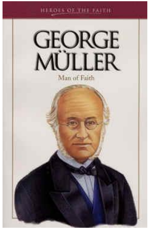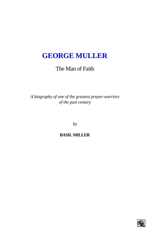# **GEORGE MULLER**

### The Man of Faith

*A biography of one of the greatest prayer-warriors of the past century*

*by*

### **BASIL MILLER**

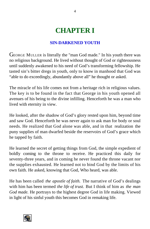# **CHAPTER I**

#### **SIN-DARKENED YOUTH**

GEORGE MULLER is literally the "man God made." In his youth there was no religious background. He lived without thought of God or righteousness until suddenly awakened to his need of God's transforming fellowship. He tasted sin's bitter dregs in youth, only to know in manhood that God was "able to do exceedingly, abundantly above all" he thought or asked.

The miracle of his life comes not from a heritage rich in religious values. The key is to be found in the fact that George in his youth opened all avenues of his being to the divine infilling. Henceforth he was a man who lived with eternity in view.

He looked, after the shadow of God's glory rested upon him, beyond time and saw God. Henceforth he was never again to ask man for body or soul needs. He realized that God alone was able, and in that realization the puny supplies of man dwarfed beside the reservoirs of God's grace which he tapped by faith.

He learned the secret of getting things from God, the simple expedient of boldly coming to the throne to receive. He practiced this daily for seventy-three years, and in coming he never found the throne vacant nor the supplies exhausted. He learned not to bind God by the limits of his own faith. He asked, knowing that God, Who heard, was able.

He has been called *the apostle of faith.* The narrative of God's dealings with him has been termed *the life of trust.* But I think of him as *the man God made.* He portrays to the highest degree God in life making. Viewed in light of his sinful youth this becomes God in remaking life.

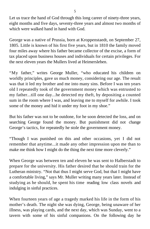Let us trace the hand of God through this long career of ninety-three years, eight months and five days, seventy-three years and almost two months of which were walked hand in hand with God.

George was a native of Prussia, born at Kroppenstaedt, on September 27, 1805. Little is known of his first five years, but in 1810 the family moved four miles away where his father became collector of the excise, a form of tax placed upon business houses and individuals for certain privileges. For the next eleven years the Mullers lived at Heimersleben.

"My father," writes George Muller, "who educated his children on worldly principles, gave us much money, considering our age. The result was that it led my brother and me into many sins. Before I was ten years old I repeatedly took of the government money which was entrusted to my father...till one day...he detected my theft, by depositing a counted sum in the room where I was, and leaving me to myself for awhile. I took some of the money and hid it under my foot in my shoe."

But his father was not to be outdone, for he soon detected the loss, and on searching George found the money. But punishment did not change George's tactics, for repeatedly he stole the government money.

"Though I was punished on this and other occasions, yet I did not remember that anytime...it made any other impression upon me than to make me think how I might do the thing the next time more cleverly."

When George was between ten and eleven he was sent to Halberstadt to prepare for the university. His father desired that he should train for the Lutheran ministry. "Not that thus I might serve God, but that I might have a comfortable living," says Mr. Muller writing many years later. Instead of studying as he should, he spent his time reading low class novels and indulging in sinful practices.

When fourteen years of age a tragedy marked his life in the form of his mother's death. The night she was dying, George, being unaware of her illness, was playing cards, and the next day, which was Sunday, went to a tavern with some of his sinful companions. On the following day he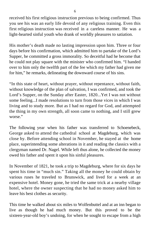received his first religious instruction previous to being confirmed. Thus you see his was an early life devoid of any religious training. Even this first religious instruction was received in a careless manner. He was a light-hearted sinful youth who drank of worldly pleasures to satiation.

His mother's death made no lasting impression upon him. Three or four days before his confirmation, which admitted him to partake of the Lord's Supper, he committed a gross immorality. So deceitful had he become that he could not play square with the minister who confirmed him. "I handed over to him only the twelfth part of the fee which my father had given me for him," he remarks, delineating the downward course of his sins.

"In this state of heart, without prayer, without repentance, without faith, without knowledge of the plan of salvation, I was confirmed, and took the Lord's Supper, on the Sunday after Easter, 1820...Yet I was not without some feeling...I made resolutions to turn from those vices in which I was living and to study more. But as I had no regard for God, and attempted the thing in my own strength, all soon came to nothing, and I still grew worse."

The following year when his father was transferred to Schoenebeck, George asked to attend the cathedral school at Magdeburg, which was close by. Before attending school in November, he stayed at the home place, superintending some alterations in it and reading the classics with a clergyman named Dr. Nagel. While left thus alone, he collected the money owed his father and spent it upon his sinful pleasures.

In November of 1821, he took a trip to Magdeburg, where for six days he spent his time in "much sin." Taking all the money he could obtain by various ruses he traveled to Brunswick, and lived for a week at an expensive hotel. Money gone, he tried the same trick at a nearby village hotel, where the owner suspecting that he had no money asked him to leave his best clothes as security.

This time he walked about six miles to Wolfenbuttel and at an inn began to live as though he had much money. But this proved to be the sixteen-year-old boy's undoing, for when he sought to escape from a high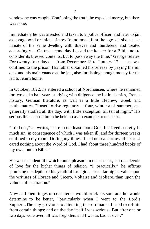window he was caught. Confessing the truth, he expected mercy, but there was none.

Immediately he was arrested and taken to a police officer, and later to jail as a vagabond or thief. "I now found myself, at the age of sixteen, an inmate of the same dwelling with thieves and murderers, and treated accordingly.... On the second day I asked the keeper for a Bible, not to consider its blessed contents, but to pass away the time," George relates. For twenty-four days — from December 18 to January  $12$  — he was confined to the prison. His father obtained his release by paying the inn debt and his maintenance at the jail, also furnishing enough money for the lad to return home.

In October, 1822, he entered a school at Nordhausen, where he remained for two and a half years studying with diligence the Latin classics, French history, German literature, as well as a little Hebrew, Greek and mathematics. "I used to rise regularly at four, winter and summer, and generally studied all the day, with little exception, till ten at night." His serious life caused him to be held up as an example to the class.

"I did not," he writes, "care in the least about God, but lived secretly in much sin, in consequence of which I was taken ill, and for thirteen weeks confined to my room. During my illness I had no real sorrow of heart...I cared nothing about the Word of God. I had about three hundred books of my own, but no Bible."

His was a student life which found pleasure in the classics, but one devoid of love for the higher things of religion. "I practically," he affirms plumbing the depths of his youthful irreligion, "set a far higher value upon the writings of Horace and Cicero, Voltaire and Moliere, than upon the volume of inspiration."

Now and then tinges of conscience would prick his soul and he would determine to be better, "particularly when I went to the Lord's Supper...The day previous to attending that ordinance I used to refrain from certain things; and on the day itself I was serious...But after one or two days were over, all was forgotten, and I was as bad as ever."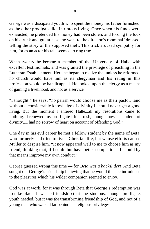George was a dissipated youth who spent the money his father furnished, as the other prodigals did, in riotous living. Once when his funds were exhausted, he pretended his money had been stolen, and forcing the lock on his trunk and guitar case, he went to the director's room half dressed, telling the story of the supposed theft. This trick aroused sympathy for him, for as an actor his tale seemed to ring true.

When twenty he became a member of the University of Halle with excellent testimonials, and was granted the privilege of preaching in the Lutheran Establishment. Here he began to realize that unless he reformed, no church would have him as its clergyman and his rating in this profession would be handicapped. He looked upon the clergy as a means of gaining a livelihood, and not as a service.

"I thought," he says, "no parish would choose me as their pastor...and without a considerable knowledge of divinity I should never get a good living. But the moment I entered Halle...all my resolutions came to nothing...I renewed my profligate life afresh, though now a student of divinity...I had no sorrow of heart on account of offending God."

One day in his evil career he met a fellow student by the name of Beta, who formerly had tried to live a Christian life, but whose efforts caused Muller to despise him. "It now appeared well to me to choose him as my friend, thinking that, if I could but have better companions, I should by that means improve my own conduct."

George guessed wrong this time — for *Beta was a backslider!* And Beta sought out George's friendship believing that he would thus be introduced to the pleasures which his wilder companion seemed to enjoy.

God was at work, for it was through Beta that George's redemption was to take place. It was *a* friendship that the studious, though profligate, youth needed, but it was *the* transforming friendship of God, and not of a young man who walked far behind his religious privileges.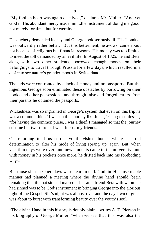"My foolish heart was again deceived," declares Mr. Muller. "And yet God in His abundant mercy made him...the instrument of doing me good, not merely for time, but for eternity."

Debauchery demanded its pay and George took seriously ill. His "conduct was outwardly rather better." But this betterment, he avows, came about not because of religious but financial reasons. His money was too limited to meet the toll demanded by an evil life. In August of 1825, he and Beta, along with two other students, borrowed enough money on their belongings to travel through Prussia for a few days, which resulted in a desire to see nature's grander moods in Switzerland.

The lads were confronted by a lack of money and no passports. But the ingenious George soon eliminated these obstacles by borrowing on their books and other possessions, and through false and forged letters from their parents he obtained the passports.

Wickedness was so ingrained in George's system that even on this trip he was a common thief. "I was on this journey like Judas," George confesses, "for having the common purse, I was a thief. I managed so that the journey cost me but two-thirds of what it cost my friends..."

On returning to Prussia the youth visited home, where his old determination to alter his mode of living sprang up again. But when vacation days were over, and new students came to the university, and with money in his pockets once more, he drifted back into his foreboding ways.

But those sin-darkened days were near an end. God in His inscrutable manner had planned a meeting where the divine hand should begin remaking the life that sin had marred. The same friend Beta with whom he had sinned was to be God's instrument in bringing George into the glorious light of the Gospel. Sin's night was almost over and the daydawn of grace was about to burst with transforming beauty over the youth's soul.

"The divine Hand in this history is doubly plain," writes A. T. Pierson in his biography of George Muller, "when we see that this was also the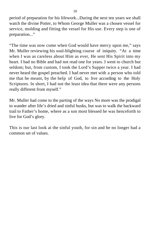period of preparation for his lifework...During the next ten years we shall watch the divine Potter, to Whom George Muller was a chosen vessel for service, molding and fitting the vessel for His use. Every step is one of preparation..."

"The time was now come when God would have mercy upon me," says Mr. Muller reviewing his soul-blighting course of iniquity. "At a time when I was as careless about Him as ever, He sent His Spirit into my heart. I had no Bible and had not read one for years. I went to church but seldom; but, from custom, I took the Lord's Supper twice a year. I had never heard the gospel preached. I had never met with a person who told me that he meant, by the help of God, to live according to the Holy Scriptures. In short, I had not the least idea that there were any persons really different from myself."

Mr. Muller had come to the parting of the ways No more was the prodigal to wander after life's dried and sinful husks, but was to walk the backward trail to Father's home, where as a son most blessed he was henceforth to live for God's glory.

This is our last look at the sinful youth, for sin and he no longer had a common set of values.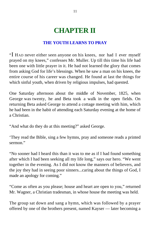### **CHAPTER II**

### **THE YOUTH LEARNS TO PRAY**

"I HAD never either seen anyone on his knees, nor had I ever myself prayed on my knees," confesses Mr. Muller. Up till this time his life had been one with little prayer in it. He had not learned the glory that comes from asking God for life's blessings. When he saw a man on his knees, the entire course of his career was changed. He found at last the things for which sinful youth, when driven by religious impulses, had quested.

One Saturday afternoon about the middle of November, 1825, when George was twenty, he and Beta took a walk in the open fields. On returning Beta asked George to attend a cottage meeting with him, which he had been in the habit of attending each Saturday evening at the home of a Christian.

"And what do they do at this meeting?" asked George.

'They read the Bible, sing a few hymns, pray and someone reads a printed sermon."

"No sooner had I heard this than it was to me as if I had found something after which I had been seeking all my life long," says our hero. "We went together in the evening. As I did not know the manners of believers, and the joy they had in seeing poor sinners...caring about the things of God, I made an apology for coming."

"Come as often as you please; house and heart are open to you," returned Mr. Wagner, a Christian tradesman, in whose house the meeting was held.

The group sat down and sang a hymn, which was followed by a prayer offered by one of the brothers present, named Kayser — later becoming a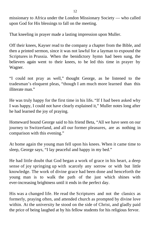missionary to Africa under the London Missionary Society — who called upon God for His blessings to fall on the meeting.

That kneeling in prayer made a lasting impression upon Muller.

Off their knees, Kayser read to the company a chapter from the Bible, and then a printed sermon, since it was not lawful for a layman to expound the Scriptures in Prussia. When the benidictory hymn had been sung, the believers again went to their knees, to be led this time in prayer by Wagner.

"I could not pray as well," thought George, as he listened to the tradesman's eloquent pleas, "though I am much more learned than this illiterate man."

He was truly happy for the first time in his life**.** "If I had been asked why I was happy, I could not have clearly explained it," Muller notes long after he had learned the joy of praying.

Homeward bound George said to his friend Beta, "All we have seen on our journey to Switzerland, and all our former pleasures, are as nothing in comparison with this evening."

At home again the young man fell upon his knees. When it came time to sleep, George says, "I lay peaceful and happy in my bed."

He had little doubt that God began a work of grace in his heart, a deep sense of joy springing up with scarcely any sorrow or with but little knowledge. The work of divine grace had been done and henceforth the young man is to walk the path of the just which shines with ever-increasing brightness until it ends in the perfect day.

His was a changed life. He read the Scriptures and not the classics as formerly, praying often, and attended church as prompted by divine love within. At the university he stood on the side of Christ, and gladly paid the price of being laughed at by his fellow students for his religious fervor.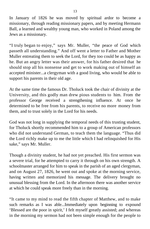In January of 1826 he was moved by spiritual ardor to become a missionary, through reading missionary papers, and by meeting Hermann Ball, a learned and wealthy young man, who worked in Poland among the Jews as a missionary.

"I truly began to enjoy," says Mr. Muller, "the peace of God which passeth all understanding." And off went a letter to Father and Mother Muller entreating them to seek the Lord, for they too could be as happy as he. But an angry letter was their answer, for his father desired that he should stop all his nonsense and get to work making out of himself an accepted minister...a clergyman with a good living, who would be able to support his parents in their old age.

At the same time the famous Dr. Tholuck took the chair of divinity at the University, and this godly man drew pious students to him. From the professor George received a strengthening influence. At once he determined to be free from his parents, to receive no more money from them, and to trust solely in the Lord for his needs.

God was not long in supplying the temporal needs of this trusting student, for Tholuck shortly recommended him to a group of American professors who did not understand German, to teach them the language. "Thus did the Lord richly make up to me the little which I had relinquished for His sake," says Mr. Muller.

Though a divinity student, he had not yet preached. His first sermon was a severe trial, for he attempted to carry it through on his own strength. A schoolmaster arranged for him to speak in the parish of an aged clergyman, and on August 27, 1826, he went out and spoke at the morning service, having written and memorized his message. The delivery brought no unusual blessing from the Lord. In the afternoon there was another service at which he could speak more freely than in the morning.

"It came to my mind to read the fifth chapter of Matthew, and to make such remarks as I was able...Immediately upon beginning to expound 'Blessed are the poor in spirit,' I felt myself greatly assisted; and whereas in the morning my sermon had not been simple enough for the people to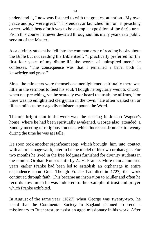understand it, I now was listened to with the greatest attention...My own peace and joy were great." This endeavor launched him on a preaching career, which henceforth was to be a simple exposition of the Scriptures. From this course he never deviated throughout his many years as a public servant of the Master.

As a divinity student he fell into the common error of reading books about the Bible but not reading the Bible itself. "I practically preferred for the first four years of my divine life the works of uninspired men," he confesses. "The consequence was that I remained a babe, both in knowledge and grace."

Since the ministers were themselves unenlightened spiritually there was little in the sermons to feed his soul. Though he regularly went to church, when not preaching, yet he scarcely ever heard the truth, he affirms, "for there was no enlightened clergyman in the town." He often walked ten or fifteen miles to hear a godly minister expound the Word.

The one bright spot in the week was the meeting in Johann Wagner's home, where he had been spiritually awakened. George also attended a Sunday meeting of religious students, which increased from six to twenty during the time he was at Halle.

He soon took another significant step, which brought him into contact with an orphanage work, later to be the model of his own orphanages. For two months he lived in the free lodgings furnished for divinity students in the famous Orphan Houses built by A. H. Franke. More than a hundred years earlier Franke had been led to establish an orphanage in entire dependence upon God. Though Franke had died in 1727, the work continued through faith. This became an inspiration to Muller and often he records how much he was indebted to the example of trust and prayer which Franke exhibited.

In August of the same year (1827) when George was twenty-two, he heard that the Continental Society in England planned to send a missionary to Bucharest, to assist an aged missionary in his work. After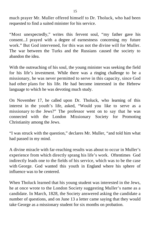much prayer Mr. Muller offered himself to Dr. Tholuck, who had been requested to find a suited minister for his service.

"Most unexpectedly," writes this fervent soul, "my father gave his consent...I prayed with a degree of earnestness concerning my future work." But God intervened, for this was not the divine will for Muller. The war between the Turks and the Russians caused the society to abandon the idea.

With the outreaching of his soul, the young minister was seeking the field for his life's investment. While there was a ringing challenge to be a missionary, he was never permitted to serve in this capacity, since God had other plans for his life. He had become interested in the Hebrew language to which he was devoting much study.

On November 17, he called upon Dr. Tholuck, who learning of this interest in the youth's life, asked, "Would you like to serve as a missionary to the Jews?" The professor went on to say that he was connected with the London Missionary Society for Promoting Christianity among the Jews.

"I was struck with the question," declares Mr. Muller, "and told him what had passed in my mind.

A divine miracle with far-reaching results was about to occur in Muller's experience from which directly sprang his life's work. Oftentimes God indirectly leads one to the fields of his service, which was to be the case with George. God wanted this youth in England where his sphere of influence was to be centered.

When Tholuck learned that his young student was interested in the Jews, he at once wrote to the London Society suggesting Muller's name as a candidate. In March, 1828, the Society answered asking the candidate a number of questions, and on June 13 a letter came saying that they would take George as a missionary student for six months on probation.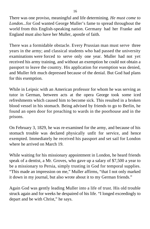There was one proviso, meaningful and life determining. *He must come to London...*for God wanted George Muller's fame to spread throughout the world from this English-speaking nation. Germany had her Franke and England must also have her Muller, apostle of faith.

There was a formidable obstacle. Every Prussian man must serve three years in the army; and classical students who had passed the university examinations were forced to serve only one year. Muller had not yet received his army training, and without an exemption he could not obtain a passport to leave the country. His application for exemption was denied, and Muller felt much depressed because of the denial. But God had plans for this exemption.

While in Leipsic with an American professor for whom he was serving as tutor in German, between acts at the opera George took some iced refreshments which caused him to become sick. This resulted in a broken blood vessel in his stomach. Being advised by friends to go to Berlin, he found an open door for preaching to wards in the poorhouse and in the prisons.

On February 3, 1829, he was re-examined for the army, and because of his stomach trouble was declared physically unfit for service, and hence exempted. Immediately he received his passport and set sail for London where he arrived on March 19.

While waiting for his missionary appointment in London, he heard friends speak of a dentist, a Mr. Groves, who gave up a salary of \$7,500 a year to be a missionary to Persia, simply trusting in God for temporal supplies. "This made an impression on me," Muller affirms, "that I not only marked it down in my journal, but also wrote about it to my German friends."

Again God was gently leading Muller into a life of trust. His old trouble struck again and for weeks he despaired of his life. "I longed exceedingly to depart and be with Christ," he says.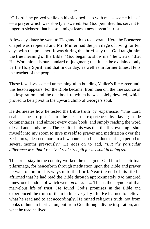"O Lord," he prayed while on his sick bed, "do with me as seemeth best" — a prayer which was slowly answered. For God permitted his servant to linger in sickness that his soul might learn a new lesson in trust.

A few days later he went to Tiegnmouth to recuperate. Here the Ebenezer chapel was reopened and Mr. Muller had the privilege of living for ten days with the preacher. It was during this brief stay that God taught him the true meaning of the Bible. "God began to show me," he writes, "that His Word alone is our standard of judgment; that it can be explained only by the Holy Spirit; and that in our day, as well as in former times, He is the teacher of the people."

These few days seemed unmeaningful in building Muller's life career until this lesson appears. For the Bible became, from then on, the true source of his inspiration, and the one book to which he was solely devoted, which proved to be a pivot in the upward climb of George's soul.

He delineates how he tested the Bible truth by experience. "The Lord enabled me to put it to the test of experience, by laying aside commentaries, and almost every other book, and simply reading the word of God and studying it. The result of this was that the first evening I shut myself into my room to give myself to prayer and meditation over the Scriptures, I learned more in a few hours than I had done during a period of several months previously." He goes on to add, *"But the particular difference was that I received real strength for my soul in doing so."*

This brief stay in the country worked the design of God into his spiritual pilgrimage, for henceforth through meditation upon the Bible and prayer he was to commit his ways unto the Lord. Near the end of his life he affirmed that he had read the Bible through approximately two hundred times, one hundred of which were *on his knees.* This is the keynote of that marvelous life of trust. He found God's promises in the Bible and experienced the truth of them in his everyday life. He learned to believe what he read and to act accordingly. He mined religious truth, not from books of human fabrication, but from God through divine inspiration, and what he read he lived.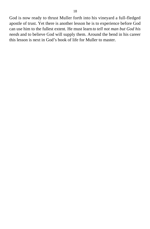God is now ready to thrust Muller forth into his vineyard a full-fledged apostle of trust. Yet there is another lesson he is to experience before God can use him to the fullest extent. He must learn *to tell not man but God his needs* and to believe God will supply them. Around the bend in his career this lesson is next in God's book of life for Muller to master.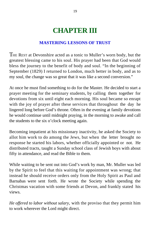# **CHAPTER III**

#### **MASTERING LESSONS OF TRUST**

THE REST at Devonshire acted as a tonic to Muller's worn body, but the greatest blessing came to his soul. His prayer had been that God would bless the journey to the benefit of body and soul. "In the beginning of September (1829) I returned to London, much better in body, and as to my soul, the change was so great that it was like a second conversion."

At once he must find something to do for the Master. He decided to start a prayer meeting for the seminary students, by calling them together for devotions from six until eight each morning. His soul became so enrapt with the joy of prayer after these services that throughout the day he lingered long before God's throne. Often in the evening at family devotions he would continue until midnight praying, in the morning to awake and call the students to the six o'clock meeting again.

Becoming impatient at his missionary inactivity, he asked the Society to allot him work to do among the Jews, but when the letter brought no response he started his labors, whether officially appointed or not. He distributed tracts, taught a Sunday school class of Jewish boys with about fifty in attendance, and read the Bible to them.

While waiting to be sent out into God's work by man, Mr. Muller was led by the Spirit to feel that this waiting for appointment was wrong; that instead he should receive orders only from the Holy Spirit as Paul and Barnabas were sent forth. He wrote the Society while spending the Christmas vacation with some friends at Devon, and frankly stated his views.

*He offered to labor without salary,* with the proviso that they permit him to work wherever the Lord might direct.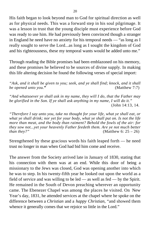His faith began to look beyond man to God for spiritual direction as well as for physical needs. This was a forward step in his soul pilgrimage. It was a lesson in trust that the young disciple must experience before God was ready to use him. He had previously been convinced though a stranger in England he need have no anxiety for his temporal needs — "as long as I really sought to serve the Lord...as long as I sought the kingdom of God and his righteousness, these my temporal wants would be added unto me."

Through reading the Bible promises had been emblazoned on his memory, and these promises he believed to be sources of divine supply. In making this life altering decision he found the following verses of special import:

*"Ask, and it shall be given to you; seek, and ye shall find; knock, and it shall be opened unto you.***"** (Matthew 7:7)

*"And whatsoever ye shall ask in my name, they will I do, that the Father may be glorified in the Son. If ye shall ask anything in my name, I will do it."*  (John 14:13, 14.

*"Therefore I say unto you, take no thought for your life, what ye shall eat, or what ye shall drink; nor yet for your body, what ye shall put on. Is not the life more than meat, and the body than raiment? Behold the fowls of the air: for they sow not...yet your heavenly Father feedeth them. Are ye not much better than they?*" (Matthew 6: 25 – 26) *(Matthew 6: 25 – 26)* 

Strengthened by these gracious words his faith leaped forth — he need trust no longer in man when God had bid him come and receive.

The answer from the Society arrived late in January of 1830, stating that his connection with them was at an end. While this door of being a missionary to the Jews was closed, God was opening another into which he was to step. In his twenty-fifth year he looked out upon the world as a field of service and was willing to be led — as well as fed — by the Spirit. He remained in the South of Devon preaching wherever an opportunity came. The Ebenezer Chapel was among the places he visited. On New Year's day, 1831, he attended services at the chapel where he spoke on the difference between a *Christian* and a *happy Christian,* "and showed them whence it generally comes that we rejoice so little in the Lord."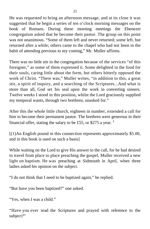He was requested to bring an afternoon message, and at its close it was suggested that he begin a series of ten o'clock morning messages on the book of Romans. During these morning meetings the Ebenezer congregation asked that he become their pastor. The group on this point was not unanimous. "Some of them left and never returned; some left, but returned after a while; others came to the chapel who had not been in the habit of attending previous to my coming," Mr. Muller affirms.

There was no little stir in the congregation because of the services "of this foreigner," as some of them expressed it. Some delighted in the food for their souls, caring little about the form, but others bitterly opposed the work of Christ. "There was," Muller writes, "in addition to this, a great stir, a spirit of inquiry, and a searching of the Scriptures...And what is more than all, God set his seal upon the work in converting sinners. Twelve weeks I stood in this position, whilst the Lord graciously supplied my temporal wants, through two brethren, unasked for."

After this the whole little church, eighteen in number, extended a call for him to become their permanent pastor. The brethren were generous in their financial offer, stating the salary to be £55, or \$275 a year. <sup>1</sup>

[(1)An English pound in this connection represents approximately \$5.00, and in this book is used on such a basis]

While waiting on the Lord to give His answer to the call, for he had desired to travel from place to place preaching the gospel, Muller received a new light on baptism. He was preaching at Sidmouth in April, when three ladies asked his opinion on the subject.

"I do not think that I need to be baptized again," he replied.

"But have you been baptized?" one asked.

"Yes, when I was a child."

"Have you ever read the Scriptures and prayed with reference to the subject?"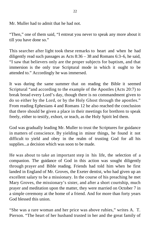Mr. Muller had to admit that he had not.

"Then," one of them said, "I entreat you never to speak any more about it till you have done so."

This searcher after light took these remarks to heart and when he had diligently read such passages as Acts 8:36 – 38 and Romans 6:3–6, he said, "I saw that believers only are the proper subjects for baptism, and that immersion is the only true Scriptural mode in which it ought to be attended to." Accordingly he was immersed.

It was during the same summer that on reading the Bible it seemed Scriptural "and according to the example of the Apostles (Acts 20:7) to break bread every Lord's day, though there is no commandment given to do so either by the Lord, or by the Holy Ghost through the apostles." From reading Ephesians 4 and Romans 12 he also reached the conclusion that there should be given a place in their meetings for brethren to speak freely, either to testify, exhort, or teach, as the Holy Spirit led them.

God was gradually leading Mr. Muller to trust the Scriptures for guidance in matters of conscience. By yielding in minor things, he found it not difficult to yield and obey in the realm of trusting God for all his supplies...a decision which was soon to be made.

He was about to take an important step in his life, the selection of a companion. The guidance of God in this action was sought diligently through prayer and Bible reading. Friends had told him when he first landed in England of Mr. Groves, the Exeter dentist, who had given up an excellent salary to be a missionary. In the course of his preaching he met Mary Groves, the missionary's sister, and after a short courtship, much prayer and meditation upon the matter, they were married on October 7 in a simple ceremony at the home of a friend. And for more than forty years God blessed this union.

"She was a rare woman and her price was above rubies," writes A. T. Pierson. "The heart of her husband trusted in her and the great family of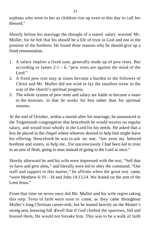orphans who were to her as children rise up even to this day to call her blessed."

Shortly before his marriage the thought of a stated salary worried Mr. Muller, for he felt that his should be a life of trust in God and not in the promise of the brethren. He found three reasons why he should give up a fixed remuneration.

- 1. A salary implies a fixed sum, generally made up of pew rents. But according to James  $2:1 - 6$ , "pew rents are against the mind of the Lord<sup>"</sup>
- 2. A fixed pew rent may at times become a burden to the follower of Christ and Mr. Muller did not wish to lay the smallest straw in the way of the church's spiritual progress.
- 3. The whole system of pew rents and salary are liable to become a snare to the minister, in that he works for hire rather than for spiritual reasons.

At the end of October, within a month after his marriage, he announced to the Teignmouth congregation that henceforth he would receive no regular salary, and would trust wholly in the Lord for his needs. He asked that a box be placed in the chapel where whoever desired to help him might leave his offering. Henceforth he was to ask no one, "not even my beloved brethren and sisters, to help me...For unconsciously I had been led to trust in an arm of flesh, going to man instead of going to the Lord at once."

Shortly afterward he and his wife were impressed with the text, "Sell that ye have and give alms," and literally were led to obey the command. "Our staff and support in this matter," he affirms when the great test came, "were Matthew  $6:19 - 34$  and John 14:13,14. We leaned on the arm of the Lord Jesus."

From that time on never once did Mr. Muller and his wife regret taking this step. Tests of faith were soon to come, as they came throughout Muller's long Christian career-trek; but he leaned heavily on the Master's strong arm, knowing full well that if God clothed the sparrows, fed and housed them, He would not forsake him. This was to be a walk of faith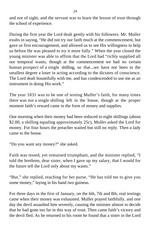and not of sight, and the servant was to learn the lesson of trust through the school of experience.

During the first year the Lord dealt gently with his followers. Mr. Muller exults in saying, "He did not try our faith much at the commencement, but gave us first encouragement, and allowed us to see His willingness to help us before He was pleased to try it more fully." When the year closed the young minister was able to affirm that the Lord had "richly supplied all our temporal wants, though at the commencement we had no certain human prospect of a single shilling, so that..,we have not been in the smallest degree a loser in acting according to the dictates of conscience. The Lord dealt bountifully with me, and has condescended to use me as an instrument in doing His work."

The year 1831 was to be one of testing Muller's faith, for many times there was not a single shilling left in the house, though at the proper moment faith's reward came in the form of money and supplies.

One morning when their money had been reduced to eight shillings (about \$2.00, a shilling equaling approximately 25c), Muller asked the Lord for money. For four hours the preacher waited but still no reply. Then a lady came to the house.

```
"Do you want any money?" she asked.
```
Faith was tested, yet remained triumphant, and the minister replied, "I told the brethren, dear sister, when I gave up my salary, that I would for the future tell the Lord only about my wants."

"But," she replied, reaching for her purse, "He has told me to give you some money," laying in his hand two guineas.

For three days in the first of January, on the 6th, 7th and 8th, real testings came when their money was exhausted. Muller prayed faithfully, and one day the devil assaulted him severely, causing the minister almost to decide that he had gone too far in this way of trust. Then came faith's victory and the devil fled. As he returned to his room he found that a sister in the Lord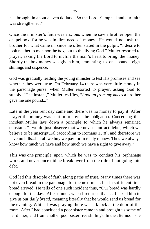had brought in about eleven dollars. "So the Lord triumphed and our faith was strengthened."

Once the minister's faith was anxious when he saw a brother open the chapel box, for he was in dire need of money. He would not ask the brother for what came in, since he often stated in the pulpit, "I desire to look neither to man nor the *box*, but to the living God." Muller resorted to prayer, asking the Lord to incline the man's heart to bring the money. Shortly the box money was given him, amounting to one pound, eight shillings and sixpence.

God was gradually leading the young minister to test His promises and see whether they were true. On February 14 there was very little money in the parsonage purse, when Muller resorted to prayer, asking God to supply. "The instant," Muller testifies, "*I got up from my knees* a brother gave me one pound..."

Late in the year rent day came and there was no money to pay it. After prayer the money was sent in to cover the obligation. Concerning this incident Muller lays down a principle to which he always remained constant. "I would just observe that we never contract debts, which we believe to be unscriptural (according to Romans 13:8), and therefore we have no bills...but all we buy we pay for in ready money. Thus we always know how much we have and how much we have a right to give away."

This was one principle upon which he was to conduct his orphanage work, and never once did he break over from the rule of not going into debt.

God led this disciple of faith along paths of trust. Many times there was not even bread in the parsonage for the next meal, but in sufficient time bread arrived. He tells of one such incident thus, "Our bread was hardly enough for the day...After dinner, when I returned thanks, I asked him to give us our *daily bread,* meaning literally that he would send us bread for the evening. Whilst I was praying there was a knock at the door of the room. After I had concluded a poor sister came in and brought us some of her dinner, and from another poor sister five shillings. In the afternoon she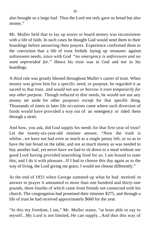also brought us a large loaf. Thus the Lord not only gave us bread but also money."

Mr. Muller held that to lay up stores or hoard money was inconsistent with a life of faith. In such cases he thought God would send them to their hoardings before answering their prayers. Experience confirmed them in the conviction that a life of trust forbids laying up treasures against unforeseen needs, since with God *"no emergency is unforeseen and no want unprovided for."* Hence his trust was in God and not in his hoardings.

A third rule was greatly blessed throughout Muller's career of trust. When money was given him for a specific need, or purpose, he regarded it as sacred to that trust, *and would not use or borrow it even temporarily for any other purpose.* Though reduced to dire needs, he would not use any money set aside for other purposes except for that specific thing. Thousands of times in later life occasions came where such diversion of funds would have provided a way out of an emergency or tided them through a strait.

And how, you ask, did God supply his needs for that first year of trust? Let the twenty-six-year-old minister answer, "Now the truth is whilse...we have not had even as much as a single penny left, or so as to have the last bread on the table, and not as much money as was needed to buy another loaf, yet never have we had to sit down to a meal without our good Lord having provided nourishing food for us. I am bound to state this, and I do it with pleasure...If I had to choose this day again as to the way of living, the Lord giving me grace, I would not choose differently."

At the end of 1831 when George summed up what he had received in answer to prayer it amounted to more than one hundred and thirty-one pounds, three fourths of which came from friends not connected with his church. The congregation had promised their minister \$275, and through a life of trust he had received approximately \$660 for the year.

"In this my freedom, I am," Mr. Muller states, "at least able to say to myself...My Lord is not limited, He can supply...And thus this way of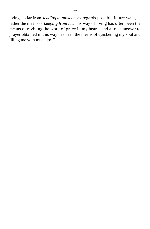living, so far from *leading to anxiety,* as regards possible future want, is rather the means of *keeping from it...*This way of living has often been the means of reviving the work of grace in my heart...and a fresh answer to prayer obtained in this way has been the means of quickening my soul and filling me with much joy."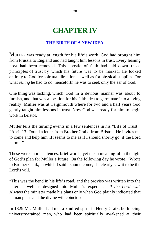# **CHAPTER IV**

#### **THE BIRTH OF A NEW IDEA**

MULLER was ready at length for his life's work. God had brought him from Prussia to England and had taught him lessons in trust. Every leaning post had been removed. This apostle of faith had laid down those principles of trust by which his future was to be marked. He looked entirely to God for spiritual direction as well as for physical supplies. For what *telling* he had to do, henceforth he was to seek only the ear of God.

One thing was lacking, which God in a devious manner was about to furnish, and that was a location for his faith idea to germinate into a living reality. Muller was at Teignmouth where for two and a half years God gently taught him lessons in trust. Now God was ready for him to begin work in Bristol.

Muller tells the turning events in a few sentences in his "Life of Trust." "April 13. Found a letter from Brother Craik, from Bristol...He invites me to come and help him...It seems to me as if I should shortly go, if the Lord permit."

These were short sentences, brief words, yet mean meaningful in the light of God's plan for Muller's future. On the following day he wrote, "Wrote to Brother Craik, in which I said I should come, if I clearly saw it to be the Lord's will.

"This was the bend in his life's road, and the proviso was written into the letter as well as designed into Muller's experience...*if the Lord will.* Always the minister made his plans only when God plainly indicated that human plans and the divine will coincided.

In 1829 Mr. Muller had met a kindred spirit in Henry Craik, both being university-trained men, who had been spiritually awakened at their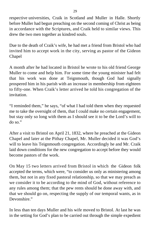respective universities, Craik in Scotland and Muller in Halle. Shortly before Muller had begun preaching on the second coming of Christ as being in accordance with the Scriptures, and Craik held to similar views. This drew the two men together as kindred souls.

Due to the death of Craik's wife, he had met a friend from Bristol who had invited him to accept work in the city, serving as pastor of the Gideon Chapel

A month after he had located in Bristol he wrote to his old friend George Muller to come and help him. For some time the young minister had felt that his work was done at Teignmouth, though God had signally prospered him in his parish with an increase in membership from eighteen to fifty-one. When Craik's letter arrived he told his congregation of the invitation.

"I reminded them," he says, "of what I had told them when they requested me to take the oversight of them, that I could make no certain engagement, but stay only so long with them as I should see it to be the Lord's will to do so."

After a visit to Bristol on April 21, 1832, where he preached at the Gideon Chapel and later at the Pithay Chapel, Mr. Muller decided it was God's will to leave his Teignmouth congregation. Accordingly he and Mr. Craik laid down conditions for the new congregation to accept before they would become pastors of the work.

On May 15 two letters arrived from Bristol in which the Gideon folk accepted the terms, which were, "to consider us only as ministering among them, but not in any fixed pastoral relationship, so that we may preach as we consider it to be according to the mind of God, without reference to any rules among them; that the pew rents should be done away with, and that we should go on, respecting the supply of our temporal wants, as in Devonshire."

In less than ten days Muller and his wife moved to Bristol. At last he was in the setting for God's plan to be carried out through the simple expedient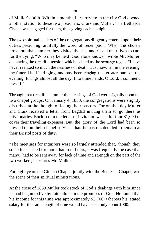of Muller's faith. Within a month after arriving in the city God opened another station to these two preachers, Craik and Muller. The Bethesda Chapel was engaged for them, thus giving each a pulpit.

The two spiritual leaders of the congregations diligently entered upon their duties, preaching faithfully the word of redemption. When the cholera broke out that summer they visited the sick and risked their lives to care for the dying. "Who may be next, God alone knows," wrote Mr. Muller, displaying the dreadful tension which existed as the scourge raged. "I have never realized so much the nearness of death...Just now, ten in the evening, the funeral bell is ringing, and has been ringing the greater part of the evening. It rings almost all the day. Into thine hands, O Lord, I commend myself."

Through that dreadful summer the blessings of God were signally upon the two chapel groups. On January 4, 1833, the congregations were slightly disturbed at the thought of losing their pastors. For on that day Muller and Craik received a letter from Bagdad inviting them to go there as missionaries. Enclosed in the letter of invitation was a draft for \$1,000 to cover their traveling expenses. But the glory of the Lord had been so blessed upon their chapel services that the pastors decided to remain at their Bristol posts of duty.

"The meetings for inquirers were so largely attended that, though they sometimes lasted for more than four hours, it was frequently the case that many...had to be sent away for lack of time and strength on the part of the two workers," declares Mr. Muller.

For eight years the Gideon Chapel, jointly with the Bethesda Chapel, was the scene of their spiritual ministrations.

At the close of 1833 Muller took stock of God's dealings with him since he had begun to live by faith alone in the promises of God. He found that his income for this time was approximately \$3,700, whereas his stated salary for the same length of time would have been only about \$900.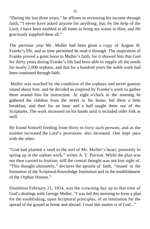"During the last three years," he affirms in reviewing his income through faith, "I never have asked anyone for anything; but, by the help of the Lord, I have been enabled at all times to bring my wants to Him, and He graciously supplied them all."

The previous year Mr. Muller had been given a copy of August H. Franke's life, and as time permitted he read it through. The inspiration of Franke proved a great boon to Muller's faith, for it showed him that God for thirty years during Franke's life had been able to supply all the needs for nearly 2,000 orphans, and that for a hundred years the noble work had been continued through faith.

 Muller was touched by the condition of the orphans and street gamins round about him, and he decided as inspired by Franke's work to gather them around him for instruction. At eight o'clock in the morning he gathered the children from the street to his home, fed them a little breakfast, and then for an hour and a half taught them out of the Scriptures. The work increased on his hands until it included older folk as well.

He found himself feeding from thirty to forty such persons, and as the number increased the Lord's provisions also increased. One kept pace with the other.

"God had planted a seed in the soil of Mr. Muller's heart, presently to spring up in the orphan work," writes A. T. Pierson. While the plan was not then carried to fruition, still the central thought was not lost sight of. "This thought ultimately," declares the apostle of faith, "issued in the formation of the Scriptural Knowledge Institution and in the establishment of the Orphan Houses."

Doubtless February 21, 1834, was the crowning day up to that time of God's dealings with George Muller. "I was led this morning to form a plan for the establishing, upon Scriptural principles, of an institution for the spread of the gospel at home and abroad. I trust this matter is of God..."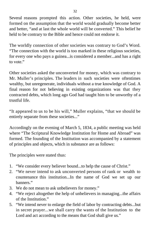Several reasons prompted this action. Other societies, he held, were formed on the assumption that the world would gradually become better and better, "and at last the whole world will be converted." This belief he held to be contrary to the Bible and hence could not endorse it.

The worldly connection of other societies was contrary to God's Word. "The connection with the world is too marked in these religious societies, for every one who pays a guinea...is considered a member...and has a right to vote."

Other societies asked the unconverted for money, which was contrary to Mr. Muller's principles. The leaders in such societies were oftentimes wealthy, but unregenerate, individuals without a true knowledge of God. A final reason for not believing in existing organizations was that they contracted debts, which long ago God had taught him to be unworthy of a trustful life.

"It appeared to us to be his will," Muller explains, "that we should be entirely separate from these societies..."

Accordingly on the evening of March 5, 1834, a public meeting was held where "The Scriptural Knowledge Institution for Home and Abroad" was formed. The founding of the Institution was accompanied by a statement of principles and objects, which in substance are as follows:

The principles were stated thus:

- 1. "We consider every believer bound...to help the cause of Christ."
- 2. "We never intend to ask unconverted persons of rank or wealth to countenance this institution...In the name of God we set up our hanners<sup>"</sup>
- 3. We do not mean to ask unbelievers for money."
- 4. "We reject altogether the help of unbelievers in managing...the affairs of the Institution."
- 5. "We intend never to enlarge the field of labor by contracting debts...but in secret prayer...we shall carry the wants of the Institution to the Lord and act according to the means that God shall give us."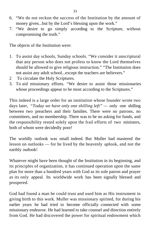- 6. "We do not reckon the success of the Institution by the amount of money given...but by the Lord's blessing upon the work."
- 7. "We desire to go simply according to the Scripture, without compromising the truth."

The objects of the Institution were:

- 1. To assist day schools, Sunday schools. "We consider it unscriptural that any person who does not profess to know the Lord themselves should be allowed to give religious instruction." "The Institution does not assist any adult school...except the teachers are believers."
- 2 To circulate the Holy Scriptures.
- 3. To aid missionary efforts. "We desire to assist those missionaries whose proceedings appear to be most according to the Scriptures."

This indeed is a large order for an institution whose founder wrote two days later, *"Today we have only one shilling left" —* only one shilling between two preachers and their families. There were no patrons, no committees, and no membership. There was to be no asking for funds, and the responsibility rested solely upon the frail efforts of two ministers, both of whom were decidedly poor!

The worldly outlook was small indeed. But Muller had mastered the lesson on outlooks — for he lived by the heavenly *up*look, and not the earthly *out*look!

Whatever might have been thought of the Institution in its beginning, and its principles of organization, it has continued operation upon the same plan for more than a hundred years with God as its sole patron and prayer as its only appeal. Its worldwide work has been signally blessed and prospered.

God had found a man he could trust and used him as His instrument in giving birth to this work. Muller was missionary spirited, for during his earlier years he had tried to become officially connected with some missionary endeavor. He had learned to take counsel and direction entirely from God. He had discovered the power for spiritual endowment which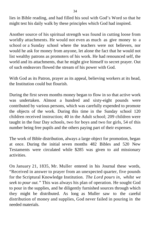lies in Bible reading, and had filled his soul with God's Word so that he might test his daily walk by these principles which God had inspired.

Another source of his spiritual strength was found in cutting loose from worldly attachments. He would not even as much as give money to a school or a Sunday school where the teachers were not believers, nor would he ask for money from anyone, let alone the fact that he would not list wealthy patrons as promoters of his work. He had renounced self, the world and its attachments, that he might give himself to secret prayer. Out of such endeavors flowed the stream of his power with God.

With God as its Patron, prayer as its appeal, believing workers at its head, the Institution could but flourish.

During the first seven months money began to flow in so that active work was undertaken. Almost a hundred and sixty-eight pounds were contributed by various persons, which was carefully expended to promote the objects of the work. During this time in the Sunday school 120 children received instruction; 40 in the Adult school; 209 children were taught in the four Day schools, two for boys and two for girls, 54 of this number being free pupils and the others paying part of their expenses.

The work of Bible distribution, always a large object for promotion, began at once. During the initial seven months 482 Bibles and 520 New Testaments were circulated while \$285 was given to aid missionary activities.

On January 21, 1835, Mr. Muller entered in his Journal these words, "Received in answer to prayer from an unexpected quarter, five pounds for the Scriptural Knowledge Institution. *The Lord pours in, whilst we seek to pour out."* This was always his plan of operation. He sought God to pour in the supplies, and he diligently furnished sources through which they might be distributed. As long as Muller saw to the careful distribution of money and supplies, God never failed in pouring in the needed materials.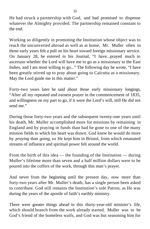He had struck a partnership with God, and had promised to dispense whatever the Almighty provided. The partnership remained constant to the end.

Working so diligently in promoting the Institution whose object was to reach the unconverted abroad as well as at home, Mr. Muller often in those early years felt a pull on his heart toward foreign missionary service. On January 28, he entered in his Journal, "I have...prayed much to ascertain whether the Lord will have me to go as a missionary to the East Indies, and I am most willing to go..." The following day he wrote, "I have been greatly stirred up to pray about going to Calcutta as a missionary. May the Lord guide me in this matter."

Forty-two years later he said about those early missionary longings, "After all my repeated and earnest prayer in the commencement of 1835, and willingness on my part to go, if it were the Lord's will, still He did not send me."

During those forty-two years and the subsequent twenty-one years until his death, Mr. Muller accomplished more for missions by remaining in England and by praying in funds than had he gone to one of the many mission fields to which his heart was drawn. God knew he would do more by *praying* than *going,* so He kept him in Bristol, from which emanated streams of influence and spiritual power felt around the world.

From the birth of this idea — the founding of the Institution — during Muller's lifetime more than seven and a half million dollars were to be poured into the coffers of the work, through this man's prayer.

And never from the beginning until the present day, now more than forty-two years after Mr. Muller's death, has a single person been asked to contribute. God still remains the Institution's sole Patron, as He was during the years of the apostle of faith's earthly ministry.

There were greater things ahead in this thirty-year-old minister's life, which should branch from the work already started. Muller was to be God's friend of the homeless waifs, and God was but seasoning him for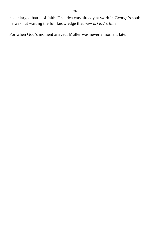his enlarged battle of faith. The idea was already at work in George's soul; he was but waiting the full knowledge that *now is God's time.*

For when God's moment arrived, Muller was never a moment late.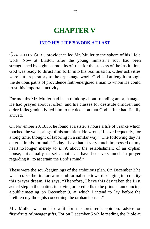### **CHAPTER V**

### **INTO HIS LIFE'S WORK AT LAST**

GRADUALLY GOD'S providence led Mr. Muller to the sphere of his life's work. Now at Bristol, after the young minister's soul had been strengthened by eighteen months of trust for the success of the Institution, God was ready to thrust him forth into his real mission. Other activities were but preparatory to the orphanage work. God had at length through the devious paths of providence faith-energized a man to whom He could trust this important activity.

For months Mr. Muller had been thinking about founding an orphanage. He had prayed about it often, and his classes for destitute children and older folks gradually led him to the decision that God's time had finally arrived.

On November 20, 1835, he found at a sister's house a life of Franke which touched the wellsprings of his ambition. He wrote, "I have frequently, for a long time, thought of laboring in a similar way." The following day he entered in his Journal, "Today I have had it very much impressed on my heart no longer merely to *think* about the establishment of an orphan house, but actually to set about it. I have been very much in prayer regarding it...to ascertain the Lord's mind."

These were the soul-beginnings of the ambitious plan. On December 2 he was to take the first outward and formal step toward bringing into reality this prayer dream. He says, "Therefore, I have this day taken the first actual step in the matter, in having ordered bills to be printed, announcing a public meeting on December 9, at which I intend to lay before the brethren my thoughts concerning the orphan house..."

Mr. Muller was not to wait for the brethren's opinion, advice or first-fruits of meager gifts. For on December 5 while reading the Bible at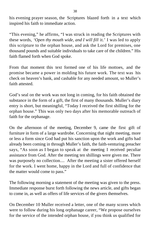his evening prayer season, the Scriptures blazed forth in a text which inspired his faith to immediate action.

"This evening," he affirms, "I was struck in reading the Scriptures with these words, *'Open thy mouth wide, and I will fill* it.' I was led to apply this scripture to the orphan house, and ask the Lord for premises, one thousand pounds and suitable individuals to take care of the children." His faith flamed forth when God spoke.

From that moment this text formed one of his life mottoes, and the promise became a power in molding his future work. The text was his check on heaven's bank, and cashable for any needed amount, so Muller's faith attested.

God's seal on the work was not long in coming, for his faith obtained the substance in the form of a gift, the first of many thousands. Muller's diary entry is short, but meaningful, "Today I received the first shilling for the orphan house." This was only two days after his memorable outreach of faith for the orphanage.

On the afternoon of the meeting, December 9, came the first gift of furniture in form of a large wardrobe. Concerning that night meeting, more or less a form since God had put his sanction upon the work and gifts had already been coming in through Muller's faith, the faith-venturing preacher says, "As soon as I began to speak at the meeting I received peculiar assistance from God. After the meeting ten shillings were given me. There was purposely no collection.... After the meeting a sister offered herself for the work. I went home, happy in the Lord and full of confidence that the matter would come to pass."

The following morning a statement of the meeting was given to the press. Immediate response burst forth following the news article, and gifts began to come in, as well as offers of life services of the givers themselves.

On December 10 Muller received a letter, one of the many scores which were to follow during his long orphanage career, "We propose ourselves for the service of the intended orphan house, if you think us qualified for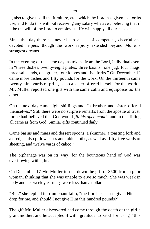it, also to give up all the furniture, etc., which the Lord has given us, for its use; and to do this without receiving any salary whatever; believing that if it be the will of the Lord to employ us, He will supply all our needs."

Since that day there has never been a lack of competent, cheerful and devoted helpers, though the work rapidly extended beyond Muller's strongest dreams.

In the evening of the same day, as tokens from the Lord, individuals sent in "three dishes, twenty-eight plates, three basins, one jug, four mugs, three saltstands, one grater, four knives and five forks." On December 12 came more dishes and fifty pounds for the work. On the thirteenth came twenty-nine yards of print, "also a sister offered herself for the work." Mr. Muller reported one gift with the same calm and equipoise as the other.

On the next day came eight shillings and "a brother and sister offered themselves." Still there were no surprise remarks from the apostle of trust, for he had believed that God would *fill his open mouth,* and in this filling all came as from God. Similar gifts continued daily.

Came basins and mugs and dessert spoons, a skimmer, a toasting fork and a dredge, also pillow cases and table cloths, as well as "fifty-five yards of sheeting, and twelve yards of calico."

The orphanage was on its way...for the bounteous hand of God was overflowing with gifts.

On December 17 Mr. Muller turned down the gift of \$500 from a poor woman, thinking that she was unable to give so much. She was weak in body and her weekly earnings were less than a dollar.

"But," she replied in triumphant faith, "the Lord Jesus has given His last drop for me, and should I not give Him this hundred pounds?"

The gift Mr. Muller discovered had come through the death of the girl's grandmother, and he accepted it with gratitude to God for using "this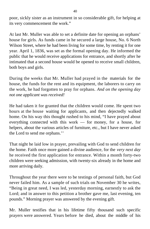poor, sickly sister as an instrument in so considerable gift, for helping at its very commencement the work."

At last Mr. Muller was able to set a definite date for opening an orphans' house for girls. As funds came in he secured a large house, No. 6 North Wilson Street, where he had been living for some time, by renting it for one year. April 1, 1836, was set as the formal opening day. He informed the public that he would receive applications for entrance, and shortly after he intimated that a second house would be opened to receive small children, both boys and girls.

During the weeks that Mr. Muller had prayed in the materials for the house, the funds for the rent and its equipment, the laborers to carry on the work, he had forgotten to pray for orphans. *And on the opening day not one applicant was received!*

He had taken it for granted that the children would come. He spent two hours at the house waiting for applicants, and then dejectedly walked home. On his way this thought rushed to his mind, "I have prayed about everything connected with this work — for money, for a house, for helpers, about the various articles of furniture, etc., but I have never asked the Lord to send me orphans.''

That night he laid low in prayer, prevailing with God to send children for the home. Faith once more gained a divine audience, for the *very next day* he received the first application for entrance. Within a month forty-two children were seeking admission, with twenty-six already in the home and more arriving daily.

Throughout the year there were to be testings of personal faith, but God never failed him. As a sample of such trials on November 30 he writes, "Being in great need, I was led, yesterday morning, earnestly to ask the Lord; and in answer to this petition a brother gave me, last evening, ten pounds." Morning prayer was answered by the evening gift.

Mr. Muller testifies that in his lifetime fifty thousand such specific prayers were answered. Years before he died, about the middle of his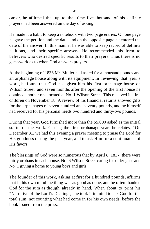career, he affirmed that up to that time five thousand of his definite prayers had been answered on the day of asking.

He made it a habit to keep a notebook with two page entries. On one page he gave the petition and the date, and on the opposite page he entered the date of the answer. In this manner he was able to keep record of definite petitions, and their specific answers. He recommended this form to believers who desired specific results to their prayers. Thus there is no guesswork as to when God answers prayers.

At the beginning of 1836 Mr. Muller had asked for a thousand pounds and an orphanage house along with its equipment. In reviewing that year's work, he found that God had given him his first orphanage house on Wilson Street, and seven months after the opening of the first house he obtained another one located at No. 1 Wilson Street. This received its first children on November 18. A review of his financial returns showed gifts for the orphanages of seven hundred and seventy pounds, and he himself had received for his personal needs two hundred and thirty-two pounds.

During that year, God furnished more than the \$5,000 asked as the initial starter of the work. Closing the first orphanage year, he relates, "On December 31, we had this evening a prayer meeting to praise the Lord for His goodness during the past year, and to ask Him for a continuance of His favors."

The blessings of God were so numerous that by April 8, 1837, there were thirty orphans in each house, No. 6 Wilson Street caring for older girls and No. 1 giving a home to young boys and girls.

The founder of this work, asking at first for a hundred pounds, affirms that in his own mind the thing was as good as done, and he often thanked God for the sum as though already in hand. When about to print his "Narrative of the Lord's Dealings," he took it in mind to ask God for the total sum, not counting what had come in for his own needs, before the book issued from the press.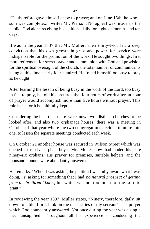"He therefore gave himself anew to prayer; and on June 15th the whole sum was complete..." writes Mr. Pierson. No appeal was made to the public, God alone receiving his petitions daily for eighteen months and ten days.

It was in the year 1837 that Mr. Muller, then thirty-two, felt a deep conviction that his own growth in grace and power for service were indispensable for the promotion of the work. He sought two things; first more retirement for secret prayer and communion with God and provision for the spiritual oversight of the church, the total number of communicants being at this time nearly four hundred. He found himself too busy to pray as he ought.

After learning the lesson of being busy in the work of the Lord, too busy in fact to pray, he told his brethren that four hours of work after an hour of prayer would accomplish more than five hours without prayer. This rule henceforth he faithfully kept.

Considering the fact that there were now two distinct churches to be looked after, and also two orphanage houses, there was a meeting in October of that year where the two congregations decided to unite into one, to lessen the separate meetings conducted each week.

On October 21 another house was secured in Wilson Street which was opened to receive orphan boys. Mr. Muller now had under his care ninety-six orphans. His prayer for premises, suitable helpers and the thousand pounds were abundantly answered.

He remarks, "When I was asking the petition I was fully aware what I was doing, *i.e.* asking for something that I had *no natural prospect of getting from the brethren I knew,* but which was not too much for the Lord to grant."

In reviewing the year 1837, Muller states, "Ninety, therefore, daily sit down to table. Lord, look on the necessities of thy servant" — a prayer which God abundantly answered. Not once during the year was a single meal unsupplied. Throughout all his experience in conducting the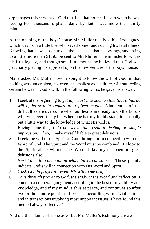orphanages this servant of God testifies that no meal, even when he was feeding two thousand orphans daily by faith, was more than thirty minutes late.

At the opening of the boys' house Mr. Muller received his first legacy, which was from a little boy who saved some funds during his fatal illness. Knowing that he was soon to die, the lad asked that his savings, amounting to a little more than \$1.50, be sent to Mr. Muller. The minister took it as his first legacy, and though small in amount, he believed that God was peculiarly placing his approval upon the new venture of the boys' house.

Many asked Mr. Muller how he sought to know the will of God, in that nothing was undertaken, not even the smallest expenditure, without feeling certain he was in God's will. In the following words he gave his answer:

- 1. I seek at the beginning to *get my heart into such a state that it has no will of its own in regard to a given matter.* Nine-tenths of the difficulties are overcome when our hearts are ready to do the Lord's will, whatever it may be. When one is truly in this state, it is usually but a little way to the knowledge of what His will is.
- 2. Having done this, *I do not leave the result to feeling or simple impressions.* If so, I make myself liable to great delusions.
- 3. I seek the will of the Spirit of God through or in connection with the Word of God. The Spirit and the Word must be combined. If I look to the Spirit alone without the Word, I lay myself open to great delusions also.
- 4. *Next I take into account providential circumstances.* These plainly indicate God's will in connection with His Word and Spirit.
- 5. *1 ask God in prayer to reveal His will to me aright.*
- 6. *Thus through prayer to God, the study of the Word and reflection,* I come to a deliberate judgment according to the best of my ability and knowledge, and if my mind is thus at peace, and continues so after two or three more petitions, I proceed accordingly. In trivial matters and in transactions involving most important issues, I have found this method always effective."

And did this plan work? one asks. Let Mr. Muller's testimony answer.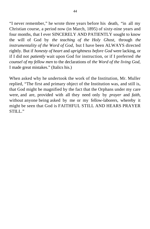"I never remember," he wrote three years before his death, "in all my Christian course, a period now (in March, 1895) of sixty-nine years and four months, that I ever SINCERELY AND PATIENTLY sought to know the will of God by *the teaching of the Holy Ghost,* through *the instrumentality of the Word of God,* but I have been ALWAYS directed rightly. But if *honesty of heart* and *uprightness before God* were lacking, or if I did not *patiently* wait upon God for instruction, or if I preferred *the counsel of my fellow men* to the declarations of *the Word of the living God,* I made great mistakes." (Italics his.)

When asked why he undertook the work of the Institution, Mr. Muller replied, "The first and primary object of the Institution was, and still is, that God might be magnified by the fact that the Orphans under my care were, and are, provided with all they need only by *prayer* and *faith,* without anyone being asked by me or my fellow-laborers, whereby it might be seen that God is FAITHFUL STILL AND HEARS PRAYER STILL."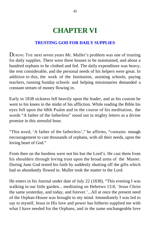# **CHAPTER VI**

### **TRUSTING GOD FOR DAILY SUPPLIES**

DURING THE next seven years Mr. Muller's problem was one of trusting for daily supplies. There were three houses to be maintained, and about a hundred orphans to be clothed and fed. The daily expenditure was heavy, the rent considerable, and the personal needs of his helpers were great. In addition to this, the work of the Institution, assisting schools, paying teachers, running Sunday schools and helping missionaries demanded a constant stream of money flowing in.

Early in 1838 sickness fell heavily upon the leader, and as his custom he went to his knees in the midst of his affliction. While reading the Bible his eyes fell upon the 68th Psalm and in the course of his meditation, the words "A father of the fatherless" stood out in mighty letters as a divine promise in this stressful hour.

"This word, 'A father of the fatherless'," he affirms, "contains enough encouragement to cast thousands of orphans, with all their needs, upon the loving heart of God."

From then on the burdens were not his but the Lord's. He cast them from his shoulders through loving trust upon the broad arms of the Master. During June God tested his faith by suddenly shutting off the gifts which had so abundantly flowed in. Muller took the matter to the Lord.

He enters in his Journal under date of July 22 (1838), "This evening I was walking in our little garden... meditating on Hebrews 13:8, 'Jesus Christ the same yesterday, and today, and forever.'...All at once the present need of the Orphan-House was brought to my mind. Immediately I was led to say to myself, Jesus in His love and power has hitherto supplied me with what I have needed for the Orphans, and in the same unchangeable love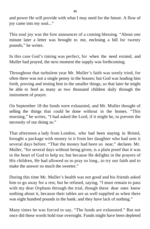and power He will provide with what I may need for the future. A flow of joy came into my soul..."

This soul joy was the fore announcer of a coming blessing. "About one minute later a letter was brought to me, enclosing a bill for twenty pounds," he writes.

In this case God's timing was perfect, for when the need existed, and Muller had prayed, the next moment the supply was forthcoming.

Throughout that turbulent year Mr. Muller's faith was sorely tried, for often there was not a single penny in the houses; but God was leading him forth, proving and testing him in the smaller things, so that later he might be able to feed as many as two thousand children daily through the instrument of prayer.

On September 18 the funds were exhausted, and Mr. Muller thought of selling the things that could be done without in the homes. "This morning," he writes, "I had asked the Lord, if it might be, to prevent the necessity of our doing so."

That afternoon a lady from London, who had been staying in Bristol, brought a package with money in it from her daughter who had sent it several days before. "That the money had been so near," declares Mr. Muller, "for several days without being given, is a plain proof that it was in the heart of God to help us; but because He delights in the prayers of His children, He had allowed us to pray so long...to try our faith and to make the answer so much the sweeter."

During this time Mr. Muller's health was not good and his friends asked him to go away for a rest, but he refused, saying, "I must remain to pass with my dear Orphans through the trial, though these dear ones know nothing about it, because their tables are as well supplied as when there was eight hundred pounds in the bank; and they have lack of nothing."

Many times he was forced to say, "The funds are exhausted." But not once did these words hold true overnight. Funds might have been depleted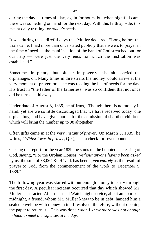during the day, at times all day, again for hours, but when nightfall came there was something on hand for the next day. With this faith apostle, this meant daily trusting for *today's* needs.

It was during these direful days that Muller declared, "Long before the trials came, I had more than once stated publicly that answers to prayer in the time of need — the manifestation of the hand of God stretched out for our help — were just the very ends for which the Institution was established."

Sometimes in plenty, but oftener in poverty, his faith carried the orphanages on. Many times in dire straits the money would arrive at the very moment of prayer, or as he was reading the list of needs for the day. His trust in "the father of the fatherless" was so confident that not once did he turn a child away.

Under date of August 8, 1839, he affirms, "Though there is no money in hand, yet are we so little discouraged that we have received today one orphan boy, and have given notice for the admission of six other children, which will bring the number up to 98 altogether."

Often gifts came in at the very *instant of prayer.* On March 5, 1839, he writes, *"Whilst I was in prayer*, Q. Q. sent a check for seven pounds..."

Closing the report for the year 1839, he sums up the bounteous blessing of God, saying, "For the Orphan Houses, *without anyone having been asked* by us, the sum of £3,067 8s. 9 1/4d. has been given *entirely* as the result of prayer to God, from the commencement of the work to December 9, 1839."

The following year was started without enough money to carry through the first day. A peculiar incident occurred that day which showed Mr. Muller's character. After the usual Watch night service, about an hour past midnight, a friend, whom Mr. Muller knew to be in debt, handed him a sealed envelope with money in it. "I resolved, therefore, without opening the paper to return it....This was done *when I knew there was not enough in hand to meet the expenses of the day."*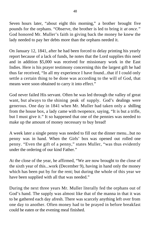Seven hours later, "about eight this morning," a brother brought five pounds for the orphans. "Observe, the brother is led to bring it *at once."* God honored Mr. Muller's faith in giving back the money he knew the lady needed to pay her debts more than the orphans needed it.

On January 12, 1841, after he had been forced to delay printing his yearly report because of a lack of funds, he notes that the Lord supplies this need and in addition \$5,000 was received for missionary work in the East Indies. Here is his prayer testimony concerning this the largest gift he had thus far received, "In all my experience I have found...that if I could only settle a certain thing to be done was according to the will of God, that means were soon obtained to carry it into effect."

God never failed His servant. Often he was led through the valley of great want, but always to the shining peak of supply. God's dealings were generous. One day in 1841 when Mr. Muller had taken only a shilling from the house box, a lady came with twopence, saying, "It is but a trifle, but I must give it." It so happened that one of the pennies was needed to make up the amount of money necessary to buy bread!

A week later a single penny was needed to fill out the dinner menu...but no penny was in hand. When the Girls' box was opened out rolled one penny. "Even the gift of a penny," states Muller, "was thus evidently under the ordering of our kind Father."

At the close of the year, he affirmed, "We are now brought to the close of the sixth year of this...work (December 9), having in hand only the money which has been put by for the rent; but during the whole of this year we have been supplied with all that was needed."

During the next three years Mr. Muller literally fed the orphans out of God's hand. The supply was almost like that of the manna in that it was to be gathered each day afresh. There was scarcely anything left over from one day to another. Often money had to be prayed in before breakfast could be eaten or the evening meal finished.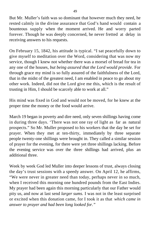But Mr. Muller's faith was so dominant that however much they need, he rested calmly in the divine assurance that God's hand would contain a bounteous supply when the moment arrived. He and worry parted forever. Though he was deeply concerned, he never fretted at delay in receiving answers to his requests.

On February 15, 1842, his attitude is typical. "I sat peacefully down to give myself to meditation over the Word, considering that was now my service, though I knew not whether there was a morsel of bread for tea in any one of the houses, *but being assured that the Lord would provide.* For through grace my mind is so fully assured of the faithfulness of the Lord, that in the midst of the greatest need, I am enabled in peace to go about my other work. Indeed, did not the Lord give me this, which is the result of trusting in Him, I should be scarcely able to work at all."

His mind was fixed in God and would not be moved, for he knew at the proper time the money or the food would arrive.

March 19 began in poverty and dire need, only seven shillings having come in during three days. 'There was not one ray of light as far as natural prospects." So Mr. Muller proposed to his workers that the day be set for prayer. When they met at ten-thirty, immediately by three separate people twenty-one shillings were brought in. They called a similar session of prayer for the evening, for there were yet three shillings lacking. Before the evening service was over the three shillings had arrived, plus an additional three.

Week by week God led Muller into deeper lessons of trust, always closing the day's trust sessions with a speedy answer. On April 12, he affirms, "We were never in greater need than today, perhaps never in so much, when I received this morning one hundred pounds from the East Indies. My prayer had been again this morning particularly that our Father would pity us, and now at last send *larger sums.* I was not in the least surprised or excited when this donation came, for I took it as that *which came in answer to prayer and had been long looked for."*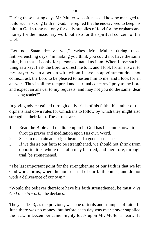During these testing days Mr. Muller was often asked how he managed to build such a strong faith in God. He replied that he endeavored to keep his faith in God strong not only for daily supplies of food for the orphans and money for the missionary work but also for the spiritual concern of the world.

"Let not Satan deceive you," writes Mr. Muller during those faith-wrenching days, "in making you think you could not have the same faith, but that it is only for persons situated as I am. When I lose such a thing as a key, I ask the Lord to direct me to it, and I look for an answer to my prayer; when a person with whom I have an appointment does not come...I ask the Lord to be pleased to hasten him to me, and I look for an answer...Thus in all my temporal and spiritual concerns I pray to the Lord and expect an answer to my requests; and may not you do the same, dear believing reader?"

In giving advice gained through daily trials of his faith, this father of the orphans laid down rules for Christians to follow by which they might also strengthen their faith. These rules are:

- 1. Read the Bible and meditate upon it. God has become known to us through prayer and meditation upon His own Word.
- 2 Seek to maintain an upright heart and a good conscience.
- 3. If we desire our faith to be strengthened, we should not shrink from opportunities where our faith may be tried, and therefore, through trial, be strengthened.

"The last important point for the strengthening of our faith is that we let God work for us, when the hour of trial of our faith comes, and do not work a deliverance of our own."

"Would the believer therefore have his faith strengthened, he must *give God time to work,"* he declares.

The year 1843, as the previous, was one of trials and triumphs of faith. In June there was no money, but before each day was over prayer supplied the lack. In December came mighty loads upon Mr. Muller's heart. He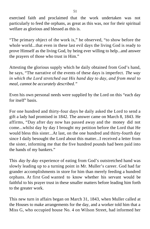exercised faith and proclaimed that the work undertaken was not particularly to feed the orphans, as great as this was, nor for their spiritual welfare as glorious and blessed as this is.

"The primary object of the work is," he observed, "to show before the whole world...that even in these last evil days the living God is ready to prove Himself as the living God, by being ever willing to help...and answer the prayers of those who trust in Him."

Attesting the glorious supply which he daily obtained from God's hand, he says, "The narrative of the events of these days is imperfect. *The way in which the Lord stretched out His hand day to day, and from meal to meal, cannot be accurately described."*

Even his own personal needs were supplied by the Lord on this "each day for itself" basis.

For one hundred and thirty-four days he daily asked the Lord to send a gift a lady had promised in 1842. The answer came on March 8, 1843. He affirms, "Day after day now has passed away and the money did not come...whilst day by day I brought my petition before the Lord that He would bless this sister...At last, on the one hundred and thirty-fourth day since I daily besought the Lord about this matter...I received a letter from the sister, informing me that the five hundred pounds had been paid into the hands of my bankers."

This *day by day* experience of eating from God's outstretched hand was slowly leading up to a turning point in Mr. Muller's career. God had far grander accomplishments in store for him than merely feeding a hundred orphans. At first God wanted to know whether his servant would be faithful to his prayer trust in these smaller matters before leading him forth to the greater work.

This new turn in affairs began on March 31, 1843, when Muller called at the Houses to make arrangements for the day, and a worker told him that a Miss G, who occupied house No. 4 on Wilson Street, had informed her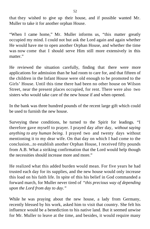that they wished to give up their house, and if possible wanted Mr. Muller to take it for another orphan House.

"When I came home," Mr. Muller informs us, "this matter greatly occupied my mind. I could not but ask the Lord again and again whether He would have me to open another Orphan House, and whether the time was now come that I should serve Him still more extensively in this matter."

He reviewed the situation carefully, finding that there were more applications for admission than he had room to care for, and that fifteen of the children in the Infant House were old enough to be promoted to the Girls' House. Until this time there had been no other house on Wilson Street, near the present places occupied, for rent. There were also two sisters who would take care of the new house if and when opened.

In the bank was three hundred pounds of the recent large gift which could be used to furnish the new house.

Surveying these conditions, he turned to the Spirit for leadings. "I therefore gave myself to prayer. I prayed day after day, *without saying anything to any human being.* I prayed two and twenty days without mentioning it to my dear wife. On that day on which I had come to the conclusion...to establish another Orphan House, I received fifty pounds from A.B. What a striking confirmation that the Lord would help though the necessities should increase more and more."

He realized what this added burden would mean. For five years he had trusted each day for its supplies, and the new house would only increase this load on his faith life. In spite of this his belief in God commanded a forward march, for Muller never tired of *"this precious way of depending upon the Lord from day to day."*

While he was praying about the new house, a lady from Germany, recently blessed by his work, asked him to visit that country. She felt his influence would be a benediction to his native land. But it seemed unwise for Mr. Muller to leave at the time, and besides, it would require many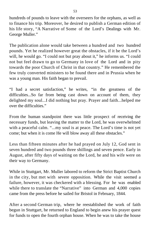hundreds of pounds to leave with the overseers for the orphans, as well as to finance his trip. Moreover, he desired to publish a German edition of his life story, "A Narrative of Some of the Lord's Dealings with Mr. George Muller."

The publication alone would take between a hundred and two hundred pounds. Yet he realized however great the obstacles, if it be the Lord's will, he would go. "I could not but pray about it," he informs us. "I could not but feel drawn to go to Germany in love of the Lord and in pity towards the poor Church of Christ in that country." He remembered the few truly converted ministers to be found there and in Prussia when he was a young man. His faith began to prevail.

"I had a secret satisfaction," he writes, "in the greatness of the difficulties...So far from being cast down on account of them, they delighted my soul...I did nothing but pray. Prayer and faith...helped me over the difficulties."

From the human standpoint there was little prospect of receiving the necessary funds, but leaving the matter to the Lord, he was overwhelmed with a peaceful calm. "...my soul is at peace. The Lord's time is not yet come; but when it is come He will blow away all these obstacles."

Less than fifteen minutes after he had prayed on July 12, God sent in seven hundred and two pounds three shillings and seven pence. Early in August, after fifty days of waiting on the Lord, he and his wife were on their way to Germany.

While in Stuttgart, Mr. Muller labored to reform the Strict Baptist Church in the city, but met with severe opposition. While the visit seemed a failure, however, it was checkered with a blessing. For he was enabled while there to translate the "Narrative" into German and 4,000 copies came from the press before he sailed for Bristol in February, 1844.

After a second German trip, where he reestablished the work of faith begun in Stuttgart, he returned to England to begin anew his prayer quest for funds to open the fourth orphan house. When he was to take the house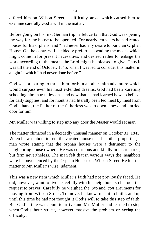offered him on Wilson Street, a difficulty arose which caused him to examine carefully God's will in the matter.

Before going on his first German trip he felt certain that God was opening the way for the house to be operated. For nearly ten years he had rented houses for his orphans, and "had never had any desire to build an Orphan House. On the contrary, I decidedly preferred spending the means which might come in for present necessities, and desired rather to enlarge the work according to the means the Lord might be pleased to give. Thus it was till the end of October, 1845, when I was led to consider this matter in a light in which I had never done before."

God was preparing to thrust him forth in another faith adventure which would surpass even his most extended dreams. God had been carefully schooling him in trust lessons, and now that he had learned how to believe for daily supplies, and for months had literally been fed meal by meal from God's hand, the Father of the fatherless was to open a new and untried door for him.

Mr. Muller was willing to step into any door the Master would set ajar.

The matter climaxed in a decidedly unusual manner on October 31, 1845. When he was about to rent the vacated house near his other properties, a man wrote stating that the orphan houses were a detriment to the neighboring house owners. He was courteous and kindly in his remarks, but firm nevertheless. The man felt that in various ways the neighbors were inconvenienced by the Orphan Houses on Wilson Street. He left the matter to Mr. Muller's wise judgment.

This was a new item which Muller's faith had not previously faced. He did, however, want to live peacefully with his neighbors, so he took the request to prayer. Carefully he weighed the *pro* and *con* arguments for moving from Wilson Street. To move, he knew, meant to build, and up until this time he had not thought it God's will to take this step of faith. But God's time was about to arrive and Mr. Muller had learned to step when God's hour struck, however massive the problem or vexing the difficulty.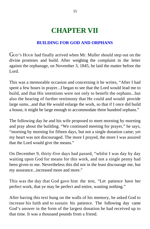# **CHAPTER VII**

### **BUILDING FOR GOD AND ORPHANS**

GOD'S HOUR had finally arrived when Mr. Muller should step out on the divine promises and build. After weighing the complaint in the letter against the orphanage, on November 3, 1845, he laid the matter before the Lord.

This was a memorable occasion and concerning it he writes, "After I had spent a few hours in prayer...I began to see that the Lord would lead me to build, and that His intentions were not only to benefit the orphans...but also the bearing of further testimony that He could and would provide large sums...and that He would enlarge the work, so that if I once did build a house, it might be large enough to accommodate three hundred orphans."

The following day he and his wife proposed to meet morning by morning and pray about the building. "We continued meeting for prayer," he says, "morning by morning for fifteen days, but not a single donation came; yet my heart was not discouraged. The more I prayed, the more I was assured that the Lord would give the means."

On December 9, thirty-five days had passed, "whilst I was day by day waiting upon God for means for this work, and not a single penny had been given to me. Nevertheless this did not in the least discourage me, but my assurance...increased more and more."

This was the day that God gave him the text, "Let patience have her perfect work, that ye may be perfect and entire, wanting nothing."

After having this text hung on the walls of his memory, he asked God to increase his faith and to sustain his patience. The following day came God's answer in the form of the largest donation he had received up to that time. It was a thousand pounds from a friend.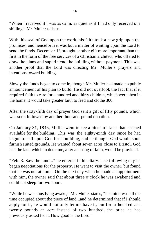"When I received it I was as calm, as quiet as if I had only received one shilling," Mr. Muller tells us.

With this seal of God upon the work, his faith took a new grip upon the promises, and henceforth it was but a matter of waiting upon the Lord to send the funds. December 13 brought another gift more important than the first in the form of the free services of a Christian architect, who offered to draw the plans and superintend the building without payment. This was another proof that the Lord was directing Mr. Muller's prayers and intentions toward building.

Slowly the funds began to come in, though Mr. Muller had made no public announcement of his plan to build. He did not overlook the fact that if it required faith to care for a hundred and thirty children, which were then in the home, it would take greater faith to feed and clothe 300.

After the sixty-fifth day of prayer God sent a gift of fifty pounds, which was soon followed by another thousand-pound donation.

On January 31, 1846, Muller went to see a piece of land that seemed available for the building. This was the eighty-ninth day since he had begun to call upon God for a building, and he thought God would soon furnish suited grounds. He wanted about seven acres close to Bristol. God had the land which in due time, after a testing of faith, would be provided.

"Feb. 3. Saw the land..." he entered in his diary. The following day he began negotiations for the property. He went to visit the owner, but found that he was not at home. On the next day when he made an appointment with him, the owner said that about three o'clock he was awakened and could not sleep for two hours.

"While he was thus lying awake," Mr. Muller states, "his mind was all the time occupied about the piece of land...and he determined that if I should apply for it, he would not only let me have it, but for a hundred and twenty pounds an acre instead of two hundred, the price he had previously asked for it. How good is the Lord."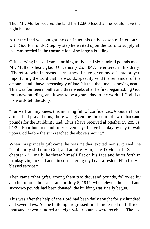Thus Mr. Muller secured the land for \$2,800 less than he would have the night before.

After the land was bought, he continued his daily season of intercourse with God for funds. Step by step he waited upon the Lord to supply all that was needed in the construction of so large a building.

Gifts varying in size from a farthing to five and six hundred pounds made Mr. Muller's heart glad. On January 25, 1847, he entered in his diary, "Therefore with increased earnestness I have given myself unto prayer, importuning the Lord that He would...speedily send the remainder of the amount...and I have increasingly of late felt that the time is drawing near." This was fourteen months and three weeks after he first began asking God for a new building, and it was to be a grand day in the work of God. Let his words tell the story.

"I arose from my knees this morning full of confidence...About an hour, after I had prayed thus, there was given me the sum of two thousand pounds for the Building Fund. Thus I have received altogether £9,285 3s. 91/2d. Four hundred and forty-seven days I have had day by day to wait upon God before the sum reached the above amount."

When this princely gift came he was neither excited nor surprised, he "could only sit before God, and admire Him, like David in II Samuel, chapter 7." Finally he threw himself flat on his face and burst forth in thanksgiving to God and "in surrendering my heart afresh to Him for His blessed service."

Then came other gifts, among them two thousand pounds, followed by another of one thousand, and on July 5, 1847, when eleven thousand and sixty-two pounds had been donated, the building was finally begun.

This was after the help of the Lord had been daily sought for six hundred and seven days. As the building progressed funds increased until fifteen thousand, seven hundred and eighty-four pounds were received. The last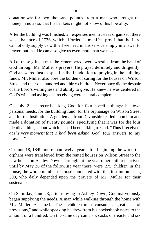donation was for two thousand pounds from a man who brought the money in notes so that his bankers might not know of his liberality.

After the building was finished, all expenses met, trustees organized, there was a balance of £776, which afforded "a manifest proof that the Lord cannot only supply us with all we need in His service simply in answer to prayer, but that He can also give us even more than we need."

All of these gifts, it must be remembered, were wrestled from the hand of God through Mr. Muller's prayers. He prayed definitely and diligently. God answered just as specifically. In addition to praying in the building funds, Mr. Muller also bore the burden of caring for the houses on Wilson Street and their one hundred and thirty children. Never once did he despair of the Lord's willingness and ability to give. He knew he was centered in God's will, and asking and receiving were natural complements.

On July 21 he records asking God for four specific things: his own personal needs, for the building fund, for the orphanage on Wilson Street and for the Institution. A gentleman from Devonshire called upon him and made a donation of twenty pounds, specifying that it was for the four identical things about which he had been talking to God. "Thus I received, *at the very moment that I had been asking God,* four answers to my prayers."

On June 18, 1849, more than twelve years after beginning the work, the orphans were transferred from the rented houses on Wilson Street to the new house on Ashley Down. Throughout the year other children arrived until by May 26 of the following year there were 275 children in the house, the whole number of those connected with the institution being 308, who daily depended upon the prayers of Mr. Muller for their sustenance.

On Saturday, June 23, after moving to Ashley Down, God marvelously began supplying the needs. A man while walking through the home with Mr. Muller exclaimed, "These children must consume a great deal of provisions," and while speaking he drew from his pocketbook notes to the amount of a hundred. On the same day came six casks of treacle and six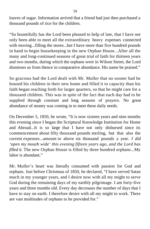loaves of sugar. Information arrived that a friend had just then purchased a thousand pounds of rice for the children.

"So bountifully has the Lord been pleased to help of late, that I have not only been able to meet all the extraordinary heavy expenses connected with moving...filling the stores...but I have more than five hundred pounds in hand to begin housekeeping in the new Orphan House...After all the many and long-continued seasons of great trial of faith for thirteen years and two months, during which the orphans were in Wilson Street, the Lord dismisses us from thence in comparative abundance. His name be praised."

So gracious had the Lord dealt with Mr. Muller that no sooner had he housed his children in their new home and filled it to capacity than his faith began reaching forth for larger quarters, so that he might care for a thousand children. This was in spite of the fact that each day had to be supplied through constant and long seasons of prayers. No great abundance of money was coming in to meet these daily needs.

On December 5, 1850, he wrote, "It is now sixteen years and nine months this evening since I began the Scriptural Knowledge Institution for Home and Abroad...It is so large that I have not only disbursed since its commencement about fifty thousand pounds sterling, but that also the current expenses...amount to above six thousand pounds a year. *I did 'open my mouth wide' this evening fifteen years ago, and the Lord has filled it.* The new Orphan House is filled by three hundred orphans...My labor is abundant."

Mr. Muller's heart was literally consumed with passion for God and orphans. Just before Christmas of 1850, he declared, "I have served Satan much in my younger years, and I desire now with all my might to serve God during the remaining days of my earthly pilgrimage. I am forty-five years and three months old. Every day decreases the number of days that I have to stay on earth. I therefore desire with all my might to work. There are vast multitudes of orphans to be provided for."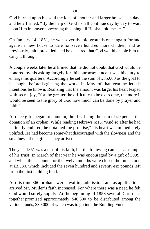God burned upon his soul the idea of another and larger house each day, and he affirmed, "By the help of God I shall continue day by day to wait upon Him in prayer concerning this thing till He shall bid me act."

On January 14, 1851, he went over the old grounds once again for and against a new house to care for seven hundred more children, and as previously, faith prevailed, and he declared that God would enable him to carry it through.

A couple weeks later he affirmed that he did not doubt that God would be honored by his asking largely for this purpose; since it was his duty to enlarge his quarters. Accordingly he set the sum of £35,000 as the goal to be sought before beginning the work. In May of that year he let his intentions be known. Realizing that the amount was large, his heart leaped with secret joy, "for the greater the difficulty to be overcome, the more it would be seen to the glory of God how much can be done by prayer and faith."

At once gifts began to come in, the first being the sum of sixpence, the donation of an orphan. While reading Hebrews 6:15, "And so after he had patiently endured, he obtained the promise," his heart was immediately uplifted. He had become somewhat discouraged with the slowness and the smallness of the gifts as they arrived.

The year 1851 was a test of his faith, but the following came as a triumph of his trust. In March of that year he was encouraged by a gift of £999, and when the accounts for the twelve months were closed the fund stood at £3,530, which included the seven hundred and seventy-six pounds left from the first building fund.

At this time 360 orphans were awaiting admission, and as applications arrived Mr. Muller's faith increased. For where there was a need he felt God would surely supply. At the beginning of 1853 several Christians together promised approximately \$40,500 to be distributed among the various funds, \$30,000 of which was to go into the Building Fund.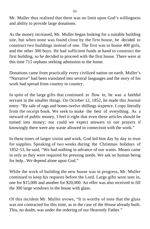Mr. Muller thus realized that there was no limit upon God's willingness and ability to provide large donations.

As the money increased, Mr. Muller began looking for a suitable building site, but when none was found close by the first house, he decided to construct two buildings instead of one. The first was to house 400 girls, and the other 300 boys. He had sufficient funds at hand to construct the first building, so he decided to proceed with the first house. There were at this time 715 orphans seeking admission to the home.

Donations came from practically every civilized nation on earth. Muller's "Narrative" had been translated into several languages and the story of his work had spread from country to country.

In spite of the large gifts that continued to flow in, he was a faithful servant in the smaller things. On October 12, 1852, he made this Journal entry: "By sale of rags and bones twelve shillings sixpence. I copy literally from the receipt book. We seek to make the best of everything. As a steward of public money, I feel it right that even these articles should be turned into money; nor could we expect answers to our prayers if knowingly there were any waste allowed in connection with the work."

In these times of larger vision and work, God led him day by day to trust for supplies. Speaking of two weeks during the Christmas holidays of 1852-53, he said, "We had nothing in advance of our wants. Means came in only as they were required for pressing needs. We ask no human being for help...We depend alone upon God."

While the work of building the new house was in progress, Mr. Muller continued to keep his requests before the Lord. Large gifts were sent in, one for \$15,000 and another for \$20,000. An offer was also received to fill the 300 large windows in the house with glass.

Of this incident Mr. Muller avows, "It is worthy of note that the glass was not contracted for this time, as in the case of the House already built. This, no doubt, was under the ordering of our Heavenly Father."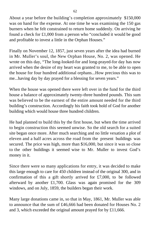About a year before the building's completion approximately \$150,000 was on hand for the expense. At one time he was examining the 150 gas burners when he felt constrained to return home suddenly. On arriving he found a check for £1,000 from a person who "concluded it would be good and profitable to invest a little in the Orphan Houses."

Finally on November 12, 1857, just seven years after the idea had burned in Mr. Muller's soul, the New Orphan House, No. 2, was opened. He wrote on this day, "The long-looked-for and long-prayed-for day has now arrived when the desire of my heart was granted to me, to be able to open the house for four hundred additional orphans...How precious this was to me...having day by day prayed for a blessing for seven years."

When the house was opened there were left over in the fund for the third house a balance of approximately twenty-three hundred pounds. This sum was believed to be the earnest of the entire amount needed for the third building's construction. Accordingly his faith took hold of God for another building which would house three hundred children.

He had planned to build this by the first house, but when the time arrived to begin construction this seemed unwise. So the old search for a suited site began once more. After much searching and no little vexation a plot of eleven and a half acres across the road from the present buildings was secured. The price was high, more than \$16,000, but since it was so close to the other buildings it seemed wise to Mr. Muller to invest God's money in it.

Since there were so many applications for entry, it was decided to make this large enough to care for 450 children instead of the original 300, and in confirmation of this a gift shortly arrived for £7,000, to be followed afterward by another £1,700. Glass was again promised for the 309 windows, and on July, 1859, the builders began their work.

Many large donations came in, so that in May, 1861, Mr. Muller was able to announce that the sum of £46,666 had been donated for Houses No. 2 and 3, which exceeded the original amount prayed for by £11,666.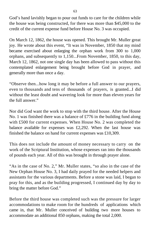God's hand lavishly began to pour out funds to care for the children while the house was being constructed, for there was more than \$45,000 to the credit of the current expense fund before House No. 3 was occupied.

On March 12, 1862, the house was opened. This brought Mr. Muller great joy. He wrote about this event, "It was in November, 1850 that my mind became exercised about enlarging the orphan work from 300 to 1,000 orphans, and subsequently to 1,150...From November, 1850, to this day, March 12, 1862, not one single day has been allowed to pass without this contemplated enlargement being brought before God in prayer, and generally more than once a day.

"Observe then...how long it may be before a full answer to our prayers, even to thousands and tens of thousands of prayers, is granted...I did without the least doubt and wavering look for more than eleven years for the full answer."

Nor did God want the work to stop with the third house. After the House No. 1 was finished there was a balance of £776 in the building fund along with £500 for current expenses. When House No. 2 was completed the balance available for expenses was £2,292. When the last house was finished the balance on hand for current expenses was £10,309.

This does not include the amount of money necessary to carry on the work of the Scriptural Institution, whose expenses ran into the thousands of pounds each year. All of this was brought in through prayer alone.

"As in the case of No. 2," Mr. Muller states, "so also in the case of the New Orphan House No. 3, I had daily prayed for the needed helpers and assistants for the various departments. Before a stone was laid, I began to pray for this, and as the building progressed, I continued day by day to bring the matter before God."

Before the third house was completed such was the pressure for larger accommodations to make room for the hundreds of applications which came in, that Mr. Muller conceived of building two more houses to accommodate an additional 850 orphans, making the total 2,000.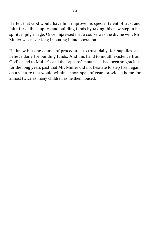He felt that God would have him improve his special talent of trust and faith for daily supplies and building funds by taking this new step in his spiritual pilgrimage. Once impressed that a course was the divine will, Mr. Muller was never long in putting it into operation.

He knew but one course of procedure...to trust daily for supplies and believe daily for building funds. And this hand to mouth existence from God's hand to Muller's and the orphans' mouths — had been so gracious for the long years past that Mr. Muller did not hesitate to step forth again on a venture that would within a short span of years provide a home for almost twice as many children as he then housed.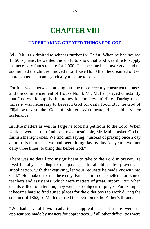# **CHAPTER VIII**

### **UNDERTAKING GREATER THINGS FOR GOD**

MR. MULLER desired to witness further for Christ. When he had housed 1,150 orphans, he wanted the world to know that God was able to supply the necessary funds to care for 2,000. This became his prayer goal, and no sooner had the children moved into House No. 3 than he dreamed of two more plants — dreams gradually to come to pass.

For four years between moving into the more recently constructed houses and the commencement of House No. 4, Mr. Muller prayed constantly that God would supply the money for the new building. During those times it was necessary to beseech God for daily food. But the God of Elijah was also the God of Muller, Who heard His child cry for sustenance.

In little matters as well as large he took his petitions to the Lord. When workers were hard to find, or proved unsuitable, Mr. Muller asked God to furnish the right ones. We find him saying, "Instead of praying once a day about this matter, as we had been doing day by day for years, we met daily three times, to bring this before God."

There was no detail too insignificant to take to the Lord in prayer. He lived literally according to the passage, "In all things by prayer and supplication, with thanksgiving, let your requests be made known unto God." He looked to the heavenly Father for food, shelter, for suited teachers and assistants, which were matters of great import. But when details called for attention, they were also subjects of prayer. For example, it became hard to find suited places for the older boys to work during the summer of 1862, so Muller carried this petition to the Father's throne.

"We had several boys ready to be apprenticed, but there were no applications made by masters for apprentices...If all other difficulties were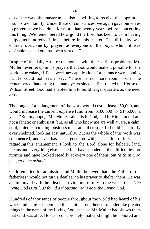out of the way, the master must also be willing to receive the apprentice into his own family. Under these circumstances, we again gave ourselves to prayer, as we had done for more than twenty years before, concerning this thing...We remembered how good the Lord has been to us in having helped us hundreds of times before in this matter...The difficulty was entirely overcome by prayer, as everyone of the boys, whom it was desirable to send out, has been sent out."

In spite of the daily care for the homes, with their various problems, Mr. Muller never let up in his prayers that God would make it possible for the work to be enlarged. Each week new applications for entrance were coming in. He could not easily say, "There is no more room," when he remembered that during the many years since he first rented the House on Wilson Street, God had enabled him to build larger quarters as the need arose.

The longed-for enlargement of the work would cost at least £50,000, and would increase the current expense fund from \$100,000 to \$175,000 a year. "But my hope," Mr. Muller said, "is in God, and in Him alone. I am not a fanatic or enthusiast, but, as all who know me are well aware, a calm, cool, quiet, calculating business man; and therefore I should be utterly overwhelmed, looking at it naturally. But as the whole of this work was commenced, and ever has been gone on with, in faith...so it is also regarding this enlargement. I look to the Lord alone for helpers, land, means and everything else needed. I have pondered the difficulties for months and have looked steadily at every one of them, but *faith in God has put them aside."*

Children cried for admission and Muller believed that "the Father of the fatherless" would not turn a deaf ear to his prayer to shelter them. He was again moved with the idea of proving more fully to the world that *"the living God is still, as found a thousand years ago, the Living God."*

Hundreds of thousands of people throughout the world had heard of his work, and many of them had their faith strengthened to undertake greater things in the name of the Living God, because Mr. Muller had shown them that God was able. He desired supremely that God might be honored and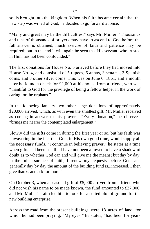souls brought into the kingdom. When his faith became certain that the new step was willed of God, he decided to go forward at once.

"Many and great may be the difficulties," says Mr. Muller. "Thousands and tens of thousands of prayers may have to ascend to God before the full answer is obtained; much exercise of faith and patience may be required; but in the end it will again be seen that His servant, who trusted in Him, has not been confounded."

The first donations for House No. 5 arrived before they had moved into House No. 4, and consisted of 5 rupees, 6 annas, 3 senams, 3 Spanish coins, and 3 other silver coins. This was on June 6, 1861, and a month later he found a check for £2,000 at his house from a friend, who was "thankful to God for the privilege of being a fellow helper in the work of caring for the orphans."

In the following January two other large donations of approximately \$20,000 arrived, which, as with even the smallest gift, Mr. Muller received as coming in answer to his prayers. "Every donation," he observes, "brings me nearer the contemplated enlargement."

Slowly did the gifts come in during the first year or so, but his faith was unwavering in the fact that God, in His own good time, would supply all the necessary funds. "I continue in believing prayer," he states at a time when gifts had been small. "I have not been allowed to have a shadow of doubt as to whether God can and will give me the means; but day by day, in the full assurance of faith, I renew my requests before God; and generally day by day the amount of the building fund is...increased. I then give thanks and ask for more."

On October 3, when a seasonal gift of £5,000 arrived from a friend who did not wish his name to be made known, the fund amounted to £27,000, and Mr. Muller's faith led him to look for a suited plot of ground for the new building enterprise.

Across the road from the present buildings were 18 acres of land, for which he had been praying. "My eyes," he states, "had been for years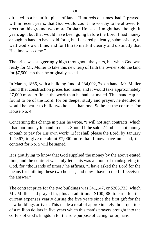directed to a beautiful piece of land...Hundreds of times had I prayed, within recent years, that God would count me worthy to be allowed to erect on this ground two more Orphan Houses...I might have bought it years ago, but that would have been going before the Lord. I had money enough in hand to have paid for it, but I desired patiently, submissively, to wait God's own time, and for Him to mark it clearly and distinctly that His time was come."

The price was staggeringly high throughout the years, but when God was ready for Mr. Muller to take this new leap of faith the owner sold the land for \$7,500 less than he originally asked.

In March, 1866, with a building fund of £34,002, 2s. on hand, Mr. Muller found that construction prices had risen, and it would take approximately £7,000 more to finish the work than he had estimated. This handicap he found to be of the Lord, for on deeper study and prayer, he decided it would be better to build two houses than one. So he let the contract for House No. 4.

Concerning this change in plans he wrote, "I will not sign contracts, which I had not money in hand to meet. Should it be said...'God has not money enough to pay for His own work'...If it shall please the Lord, by January 1, 1867, to give me about £7,000 more than I now have on hand, the contract for No. 5 will be signed."

It is gratifying to know that God supplied the money by the above-stated time, and the contract was duly let. This was an hour of thanksgiving to God, for "thousands of times,' he affirms, "I have asked the Lord for the means for building these two houses, and now I have to the full received the answer."

The contract price for the two buildings was £41,147, or \$205,735, which Mr. Muller had prayed in, plus an additional \$100,000 to care for the current expenses yearly during the five years since the first gift for the new buildings arrived. This made a total of approximately three-quarters of a million dollars in five years which this man's prayers brought into the coffers of God's kingdom for the sole purpose of caring for orphans.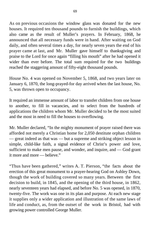As on previous occasions the window glass was donated for the new houses. It required ten thousand pounds to furnish the buildings, which also came as the result of Muller's prayers. In February, 1868, he announced that all necessary funds were in hand. After waiting on God daily, and often several times a day, for nearly seven years the end of his prayer came at last, and Mr. Muller gave himself to thanksgiving and praise to the Lord for once again "filling his mouth" after he had opened it wider than ever before. The total sum required for the two buildings reached the staggering amount of fifty-eight thousand pounds.

House No. 4 was opened on November 5, 1868, and two years later on January 6, 1870, the long-prayed-for day arrived when the last house, No. 5, was thrown open to occupancy.

It required an immense amount of labor to transfer children from one house to another, to fill in vacancies, and to select from the hundreds of applications the children whom Mr. Muller decided to be the most suited and the most in need to fill the houses to overflowing.

Mr. Muller declared, "In the mighty monument of prayer raised there was afforded not merely a Christian home for 2,050 destitute orphan children — great indeed as that was — but a supreme and striking object lesson in simple, child-like faith, a signal evidence of Christ's power and love, sufficient to make men pause, and wonder, and inquire, and — God grant it more and more — believe."

"Thus have been gathered," writes A. T. Pierson, "the facts about the erection of this great monument to a prayer-hearing God on Ashley Down, though the work of building covered so many years. Between the first decision to build, in 1845, and the opening of the third house, in 1862, nearly seventeen years had elapsed, and before No. 5 was opened, in 1870, twenty-five. The work was one in its plan and purpose. At each new stage it supplies only a wider application and illustration of the same laws of life and conduct, as, from the outset of the work in Bristol, had with growing power controlled George Muller.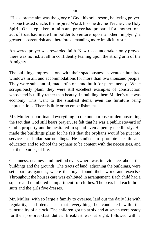"His supreme aim was the glory of God; his sole resort, believing prayer; his one trusted oracle, the inspired Word; his one divine Teacher, the Holy Spirit. One step taken in faith and prayer had prepared for another; one act of trust had made him bolder to venture upon another, implying a greater apparent risk and therefore demanding more implicit trust."

Answered prayer was rewarded faith. New risks undertaken only proved there was no risk at all in confidently leaning upon the strong arm of the Almighty.

The buildings impressed one with their spaciousness, seventeen hundred windows in all, and accommodations for more than two thousand people. They were substantial, made of stone and built for permanency. While scrupulously plain, they were still excellent examples of construction whose end is utility rather than beauty. In building them Muller's rule was economy. This went to the smallest items, even the furniture being unpretentious. There is little or no embellishment.

Mr. Muller subordinated everything to the one purpose of demonstrating the fact that God still hears prayer. He felt that he was a public steward of God's property and he hesitated to spend even a penny needlessly. He made the buildings plain for he felt that the orphans would be put into service in similar surroundings. He studied to promote health and education and to school the orphans to be content with the necessities, and not the luxuries, of life.

Cleanness, neatness and method everywhere was in evidence about the buildings and the grounds. The tracts of land, adjoining the buildings, were set apart as gardens, where the boys found their work and exercise. Throughout the houses care was exhibited in arrangement. Each child had a square and numbered compartment for clothes. The boys had each three suits and the girls five dresses.

Mr. Muller, with so large a family to oversee, laid out the daily life with regularity, and demanded that everything be conducted with the punctuality of a clock. The children got up at six and at seven were ready for their pre-breakfast duties. Breakfast was at eight, followed with a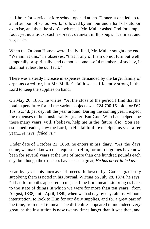half-hour for service before school opened at ten. Dinner at one led up to an afternoon of school work, followed by an hour and a half of outdoor exercise, and then the six o'clock meal. Mr. Muller asked God for simple food, yet nutritious, such as bread, oatmeal, milk, soups, rice, meat and vegetables.

When the Orphan Houses were finally filled, Mr. Muller sought one end. "We aim at this," he observes, "that if any of them do not turn out well, temporally or spiritually, and do not become useful members of society, it shall not at least be our fault."

There was a steady increase in expenses demanded by the larger family of orphans cared for, but Mr. Muller's faith was sufficiently strong in the Lord to keep the supplies on hand.

On May 26, 1861, he writes, "At the close of the period I find that the total expenditure for all the various objects was £24,700 16s. 4d., or £67 13s. 5 3/4d. per day, all the year around. During the coming year I expect the expenses to be considerably greater. But God, Who has helped me these many years, will, I believe, help me in the future also. You see, esteemed reader, how the Lord, in His faithful love helped us year after year...*He never failed us."*

Under date of October 21, 1868, he enters in his diary, "As the days come, we make known our requests to Him, for our outgoings have now been for several years at the rate of more than one hundred pounds each day; but though the expenses have been so great, *He has never failed us."*

Year by year this increase of needs followed by God's graciously supplying them is noted in his Journal. Writing on July 28, 1874, he says, "It had for months appeared to me, as if the Lord meant...to bring us back to the state of things in which we were for more than ten years, from August, 1838, until April, 1849, when we had day by day, almost without interruption, to look to Him for our daily supplies, and for a great part of the time, from meal to meal. The difficulties appeared to me indeed very great, as the Institution is now twenty times larger than it was then, and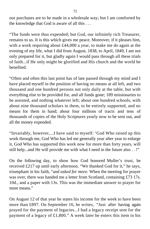our purchases are to be made in a wholesale way; but I am comforted by the knowledge that God is aware of all this . . .

"The funds were thus expended; but God, our infinitely rich Treasurer, remains to us. It is this which gives me peace. Moreover, if it pleases him, with a work requiring about £44,000 a year, to make me do again at the evening of my life, what I did from August, 1838, to April, 1849, I am not only prepared for it, but gladly again I would pass through all these trials of faith...if He only might be glorified and His church and the world be benefited.

"Often and often this last point has of late passed through my mind and I have placed myself in the position of having no means at all left, and two thousand and one hundred persons not only daily at the table, but with everything else to be provided for, and all funds gone; 189 missionaries to be assisted, and nothing whatever left; about one hundred schools, with about nine thousand scholars in them, to be entirely supported, and no means for them in hand; about four millions of tracts and tens of thousands of copies of the Holy Scriptures yearly now to be sent out, and all the money expended.

"Invariably, however,...I have said to myself: 'God Who raised up this work through me, God Who has led me generally year after year to enlarge it, God Who has supported this work now for more than forty years, will still help...and He will provide me with what I need in the future also . . !"

On the following day, to show how God honored Muller's trust, he received £217 up until early afternoon. "We thanked God for it," he says, triumphant in his faith, "and *asked for more.* When the meeting for prayer was over, there was handed me a letter from Scotland, containing £73 17s. 10d., and a paper with 13s. This was the immediate answer to prayer for more means."

On August 12 of that year he states his income for the week to have been more than £897. On September 16, he writes, "Just after having again prayed for the payment of legacies...I had a legacy receipt sent for the payment of a legacy of £1,800." A week later he enters this item in his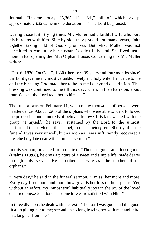Journal. "Income today £5,365 13s. 6d.," all of which except approximately £32 came in one donation — "The Lord be praised."

During those faith-trying times Mr. Muller had a faithful wife who bore his burdens with him. Side by side they prayed for many years, faith together taking hold of God's promises. But Mrs. Muller was not permitted to remain by her husband's side till the end. She lived just a month after opening the Fifth Orphan House. Concerning this Mr. Muller writes:

"Feb. 6, 1870. On Oct. 7, 1830 (therefore 39 years and four months since) the Lord gave me my most valuable, lovely and holy wife. Her value to me and the blessing God made her to be to me is beyond description. This blessing was continued to me till this day, when, in the afternoon, about four o'clock, the Lord took her to himself."

The funeral was on February 11, when many thousands of persons were in attendance. About 1,200 of the orphans who were able to walk followed the procession and hundreds of beloved fellow Christians walked with the group. 'I myself," he says, "sustained by the Lord to the utmost, performed the service in the chapel, in the cemetery, etc. Shortly after the funeral I was very unwell, but as soon as I was sufficiently recovered I preached my late dear wife's funeral sermon."

In this sermon, preached from the text, "Thou art good, and doest good" (Psalms 119:68), he drew a picture of a sweet and simple life, made dearer through holy service. He described his wife as "the mother of the orphans."

"Every day," he said in the funeral sermon, "I miss; her more and more. Every day I see more and more how great is her loss to the orphans. Yet, without an effort, my inmost soul habitually joys in the joy of the loved departed one...God alone has done it, we are satisfied with Him."

In three divisions he dealt with the text: "The Lord was good and did good: first, in giving her to me; second, in so long leaving her with me; and third, in taking her from me."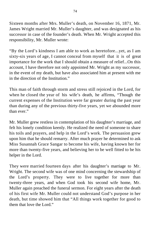Sixteen months after Mrs. Muller's death, on November 16, 1871, Mr. James Wright married Mr. Muller's daughter, and was designated as his successor in case of the founder's death. When Mr. Wright accepted this responsibility, Mr. Muller wrote:

"By the Lord's kindness I am able to work as heretofore...yet, as I am sixty-six years of age, I cannot conceal from myself that it is of great importance for the work that I should obtain a measure of relief...On this account, I have therefore not only appointed Mr. Wright as my successor, in the event of my death, but have also associated him at present with me in the direction of the Institution."

This man of faith through storm and stress still rejoiced in the Lord, for when he closed the year of his wife's death, he affirms, "Though the current expenses of the Institution were far greater during the past year than during any of the previous thirty-five years, yet we abounded more than ever."

Mr. Muller grew restless in contemplation of his daughter's marriage, and felt his lonely condition keenly. He realized the need of someone to share his toils and prayers, and help in the Lord's work. The persuasion grew upon him that he should remarry. After much prayer he determined to ask Miss Susannah Grace Sangar to become his wife, having known her for more than twenty-five years, and believing her to be well fitted to be his helper in the Lord.

They were married fourteen days after his daughter's marriage to Mr. Wright. The second wife was of one mind concerning the stewardship of the Lord's property. They were to live together for more than twenty-three years, and when God took his second wife home, Mr. Muller again preached the funeral sermon. For eight years after the death of his first wife Mr. Muller could not understand God's purpose in her death, but time showed him that "All things work together for good to them that love the Lord."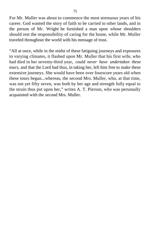For Mr. Muller was about to commence the most strenuous years of his career. God wanted the story of faith to be carried to other lands, and in the person of Mr. Wright he furnished a man upon whose shoulders should rest the responsibility of caring for the home, while Mr. Muller traveled throughout the world with his message of trust.

"All at once, while in the midst of these fatiguing journeys and exposures to varying climates, it flashed upon Mr. Muller that his first wife, who had died in her seventy-third year, *could never have undertaken these tours,* and that the Lord had thus, in taking her, left him free to make these extensive journeys. She would have been over fourscore years old when these tours began...whereas, the second Mrs. Muller, who, at that time, was not yet fifty seven, was both by her age and strength fully equal to the strain thus put upon her," writes A. T. Pierson, who was personally acquainted with the second Mrs. Muller.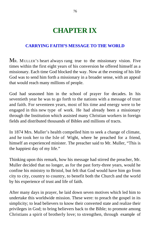## **CHAPTER IX**

### **CARRYING FAITH'S MESSAGE TO THE WORLD**

MR. MULLER'S heart always rang true to the missionary vision. Five times within the first eight years of his conversion he offered himself as a missionary. Each time God blocked the way. Now at the evening of his life God was to send him forth a missionary in a broader sense, with an appeal that would reach many millions of people.

God had seasoned him in the school of prayer for decades. In his seventieth year he was to go forth to the nations with a message of trust and faith. For seventeen years, most of his time and energy were to be engaged in this new type of work. He had already been a missionary through the Institution which assisted many Christian workers in foreign fields and distributed thousands of Bibles and millions of tracts.

In 1874 Mrs. Muller's health compelled him to seek a change of climate, and he took her to the Isle of Wight, where he preached for a friend, himself an experienced minister. The preacher said to Mr. Muller, "This is the happiest day of my life."

Thinking upon this remark, how his message had stirred the preacher, Mr. Muller decided that no longer, as for the past forty-three years, would he confine his ministry to Bristol, but felt that God would have him go from city to city, country to country, to benefit both the Church and the world by his experience of trust and life of faith.

After many days in prayer, he laid down seven motives which led him to undertake this worldwide mission. These were: to preach the gospel in its simplicity; to lead believers to know their converted state and realize their privileges in God; to bring believers back to the Bible; to promote among Christians a spirit of brotherly love; to strengthen, through example of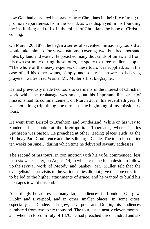how God had answered his prayers, true Christians in their life of trust; to promote separateness from the world, as was displayed in his founding the Institution; and to fix in the minds of Christians the hope of Christ's coming.

On March 26, 1875, he began a series of seventeen missionary tours that would take him to forty-two nations, covering two hundred thousand miles by land and water. He preached many thousands of times, and from his own estimate during these tours, he spoke to three million people. "The whole of the heavy expenses of these tours was supplied, as in the case of all his other wants, simply and solely in answer to believing prayers," writes Fred Warne, Mr. Muller's first biographer.

He had previously made two tours to Germany in the interest of Christian work while the orphanage was small, but his important life career of missions had its commencement on March 26, in his seventieth year. It was not a long trip, though he terms it "the beginning of my missionary tours<sup>"</sup>

He went from Bristol to Brighton, and Sunderland. While on his way to Sunderland he spoke at the Metropolitan Tabernacle, where Charles Spurgeon was pastor. He preached at other leading places such as the Mildmay Park Conference and the Edinburgh Castle. The tour closed after ten weeks on June 5, during which time he delivered seventy addresses.

The second of his tours, in conjunction with his wife, commenced less than six weeks later, on August 14, in which case he felt a desire to follow up the revival work of Moody and Sankey. Mr. Muller felt that the evangelists' short visits to the various cities did not give the converts time to be led to the higher attainments of grace, and he wanted to build his messages toward this end.

Accordingly he addressed many large audiences in London, Glasgow, Dublin and Liverpool, and in other smaller places. In some cities, especially at Dundee, Glasgow, Liverpool and Dublin, his audiences numbered from two to six thousand. The tour lasted nearly eleven months, and when it closed in July of 1876, he had preached three hundred and six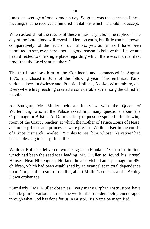times, an average of one sermon a day. So great was the success of these meetings that he received a hundred invitations which he could not accept.

When asked about the results of these missionary labors, he replied, "The day of the Lord alone will reveal it. Here on earth, but little can be known, comparatively, of the fruit of our labors; yet, as far as I have been permitted to see, even here, there is good reason to believe that I have not been directed to one single place regarding which there was not manifest proof that the Lord sent me there."

The third tour took him to the Continent, and commenced in August, 1876, and closed in June of the following year. This embraced Paris, various places in Switzerland, Prussia, Holland, Alaska, Wurtemburg, etc. Everywhere his preaching created a considerable stir among the Christian people.

At Stuttgart, Mr. Muller held an interview with the Queen of Wurtemburg, who at the Palace asked him many questions about the Orphanage in Bristol. At Darmstadt by request he spoke in the drawing room of the Court Preacher, at which the mother of Prince Louis of Hesse, and other princes and princesses were present. While in Berlin the cousin of Prince Bismarck traveled 125 miles to hear him, whose "Narrative" had been a blessing to his spiritual life.

While at Halle he delivered two messages in Franke's Orphan Institution, which had been the seed idea leading Mr. Muller to found his Bristol Houses. Near Nimenguen, Holland, he also visited an orphanage for 450 children, which had been established by an evangelist in total dependence upon God, as the result of reading about Muller's success at the Ashley Down orphanage.

"Similarly," Mr. Muller observes, "very many Orphan Institutions have been begun in various parts of the world, the founders being encouraged through what God has done for us in Bristol. His Name be magnified."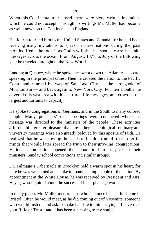When this Continental tour closed there were sixty written invitations which he could not accept. Through his writings Mr. Muller had become as well known on the Continent as in England.

His fourth tour led him to the United States and Canada, for he had been receiving many invitations to speak in these nations during the past months. Hence he took it as God's will that he should carry his faith messages across the ocean. From August, 1877, to July of the following year he traveled throughout the New World.

Landing at Quebec, where he spoke, he swept down the Atlantic seaboard, speaking in the principal cities. Then he crossed the nation to the Pacific Coast, and returned by way of Salt Lake City — the stronghold of Mormonism — and back again to New York City. For ten months he covered this vast area with his spiritual life messages, and crowded the largest auditoriums to capacity.

He spoke to congregations of Germans, and in the South to many colored people. Many preachers' meet meetings were conducted where his message was directed to the ministers of the people. These activities afforded him greater pleasure than any others. Theological seminary and university meetings were also greatly beloved by this apostle of faith. He realized that he was sowing the seeds of his doctrine of trust in fertile minds that would later spread the truth to their growing congregations. Various denominations opened their doors to him to speak to their ministers, Sunday school conventions and similar groups.

Dr. Talmage's Tabernacle in Brooklyn held a warm spot in his heart, for here he was welcomed and spoke to many leading people of the nation. By appointment at the White House, he was received by President and Mrs. Hayes, who inquired about the success of his orphanage work.

In many places Mr. Muller met orphans who had once been at his home in Bristol. Often he would meet, as he did coming out of Yosemite, someone who would rush up and ask to shake hands with him, saying, "I have read your 'Life of Trust,' and it has been a blessing to my soul."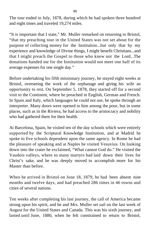The tour ended in July, 1878, during which he had spoken three hundred and eight times and traveled 19,274 miles.

"It is important that I state," Mr. Muller remarked on returning to Bristol, "that my preaching tour in the United States was not set about for the purpose of collecting money for the Institution...but only that by my experience and knowledge of Divine things, I might benefit Christians...and that I might preach the Gospel to those who knew not the Lord...The donations handed me for the Institution would not meet one half of its average expenses for one single day."

Before undertaking his fifth missionary journey, he stayed eight weeks at Bristol, overseeing the work of the orphanage and giving his wife an opportunity to rest. On September 5, 1878, they started off for a second visit to the Continent, where he preached in English, German and French. In Spain and Italy, which languages he could not use, he spoke through an interpreter. Many doors were opened to him among the poor, but in some places, such as in the Riviera, he had access to the aristocracy and nobility who had gathered there for their health.

At Barcelona, Spain, he visited ten of the day schools which were entirely supported by the Scriptural Knowledge Institution, and at Madrid he spoke to five schools dependent upon the same agency. In Rome he had the pleasure of speaking and at Naples he visited Vesuvius. On looking down into the crater he exclaimed, "What cannot God do." He visited the Vaudois valleys, where so many martyrs had laid down their lives for Christ's sake, and he was deeply moved to accomplish more for his Master than before.

When he arrived in Bristol on June 18, 1879, he had been absent nine months and twelve days, and had preached 286 times in 46 towns and cities of several nations.

Ten weeks after completing his last journey, the call of America became strong upon his spirit, and he and Mrs. Muller set sail on the last week of August for the United States and Canada. This was his sixth journey, and lasted until June, 1880, when he felt constrained to return to Bristol,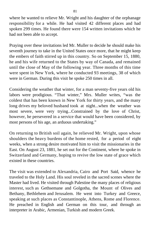where he wanted to relieve Mr. Wright and his daughter of the orphanage responsibility for a while. He had visited 42 different places and had spoken 299 times. He found there were 154 written invitations which he had not been able to accept.

Praying over these invitations led Mr. Muller to decide he should make his seventh journey to take in the United States once more, that he might keep the embers of faith stirred up in this country. So on September 15, 1880, he and his wife returned to the States by way of Canada, and remained until the close of May of the following year. Three months of this time were spent in New York, where he conducted 93 meetings, 38 of which were in German. During this visit he spoke 250 times in all.

Considering the weather that winter, for a man seventy-five years old his labors were prodigious. "That winter," Mrs. Muller writes, "was the coldest that has been known in New York for thirty years, and the many long drives my beloved husband took at night...when the weather was most severe, were very trying...Constrained by the love of Christ, however, he persevered in a service that would have been considered, by most persons of his age, an arduous undertaking."

On returning to British soil again, he relieved Mr. Wright, upon whose shoulders the heavy burdens of the home rested, for a period of eight weeks, when a strong desire motivated him to visit the missionaries in the East. On August 23, 1881, he set out for the Continent, where he spoke in Switzerland and Germany, hoping to revive the low state of grace which existed in these countries.

The visit was extended to Alexandria, Cairo and Port Said, whence he traveled to the Holy Land. His soul reveled in the sacred scenes where the Master had lived. He visited through Palestine the many places of religious interest, such as Gethsemane and Golgotha, the Mount of Olives and Bethany, Bethlehem and Jerusalem. He went into Turkey and Greece, speaking at such places as Constantinople, Athens, Rome and Florence. He preached in English and German on this tour, and through an interpreter in Arabic, Armenian, Turkish and modern Greek.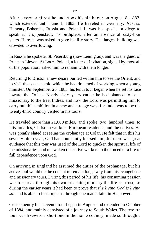After a very brief rest he undertook his ninth tour on August 8, 1882, which extended until June 1, 1883. He traveled in Germany, Austria, Hungary, Bohemia, Russia and Poland. It was his special privilege to speak at Kroppenstadt, his birthplace, after an absence of sixty-four years. Here he was asked to give his life story. The largest building was crowded to overflowing.

In Russia he spoke at St. Petersburg (now Leningrad), and was the guest of Princess Lieven. At Lodz, Poland, a letter of invitation, signed by most all of the population, asked him to remain with them longer.

Returning to Bristol, a new desire burned within him to see the Orient, and to visit the scenes amid which he had dreamed of working when a young minister. On September 26, 1883, his tenth tour began when he set his face toward the Orient. Nearly sixty years earlier he had planned to be a missionary to the East Indies, and now the Lord was permitting him to carry out this ambition in a new and strange way, for India was to be the twenty-third country visited in his tours.

He traveled more than 21,000 miles, and spoke two hundred times to missionaries, Christian workers, European residents, and the natives. He was greatly elated at seeing the orphanage at Colar. He felt that in this his seventy-ninth year, God had abundantly blessed him, for there was great evidence that this tour was used of the Lord to quicken the spiritual life of the missionaries, and to awaken the native workers to their need of a life of full dependence upon God.

On arriving in England he assumed the duties of the orphanage, but his active soul would not be content to remain long away from his evangelistic and missionary tours. During this period of his life, his consuming passion was to spread through his own preaching ministry the life of trust, as during the earlier years it had been to prove that *the living God is living still* and is able to feed orphans through one man's faith in His power.

Consequently his eleventh tour began in August and extended to October of 1884, and mainly consisted of a journey to South Wales. The twelfth tour was likewise a short one in the home country, made so through a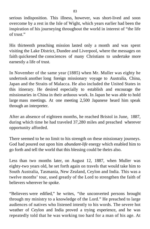serious indisposition. This illness, however, was short-lived and soon overcome by a rest in the Isle of Wight, which years earlier had been the inspiration of his journeying throughout the world in interest of "the life of trust."

His thirteenth preaching mission lasted only a month and was spent visiting the Lake District, Dundee and Liverpool, where the messages on faith quickened the consciences of many Christians to undertake more earnestly a life of trust.

In November of the same year (1885) when Mr. Muller was eighty he undertook another long foreign missionary voyage to Australia, China, Japan and the Straits of Malacca. He also included the United States in this itinerary. He desired especially to establish and encourage the missionaries in China in their arduous work. In Japan he was able to hold large mass meetings. At one meeting 2,500 Japanese heard him speak through an interpreter.

After an absence of eighteen months, he reached Bristol in June, 1887, during which time he had traveled 37,280 miles and preached wherever opportunity afforded.

There seemed to be no limit to his strength on these missionary journeys. God had poured out upon him *abundant-life* energy which enabled him to go forth and tell the world that this blessing could be theirs also.

Less than two months later, on August 12, 1887, when Muller was eighty-two years old, he set forth again on travels that would take him to South Australia, Tasmania, New Zealand, Ceylon and India. This was a twelve months' tour, used greatly of the Lord to strengthen the faith of believers wherever he spoke.

"Believers were edified," he writes, "the unconverted persons brought through my ministry to a knowledge of the Lord." He preached to large audiences of natives who listened intently to his words. The severe hot weather of Ceylon and India proved a trying experience, and he was repeatedly told that he was working too hard for a man of his age. At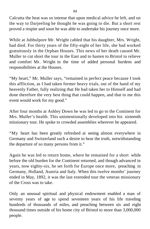Calcutta the heat was so intense that upon medical advice he left, and on the way to Darjeeling he thought he was going to die. But a short rest proved a respite and soon he was able to undertake his journey once more.

While at Jubbulpore Mr. Wright cabled that his daughter, Mrs. Wright, had died. For thirty years of the fifty-eight of her life, she had worked gratuitously in the Orphan Houses. This news of her death caused Mr. Muller to cut short the tour in the East and to hasten to Bristol to relieve and comfort Mr. Wright in the time of added personal burdens and responsibilities at the Houses.

"My heart," Mr. Muller says, "remained in perfect peace because I took this affliction, as I had taken former heavy trials, out of the hand of my heavenly Father, fully realizing that He had taken her to Himself and had done therefore the very best thing that could happen, and that to me this event would work for my good."

After four months at Ashley Down he was led to go to the Continent for Mrs. Muller's health. This unintentionally developed into his sixteenth missionary tour. He spoke to crowded assemblies wherever he appeared.

"My heart has been greatly refreshed at seeing almost everywhere in Germany and Switzerland such a desire to hear the truth, notwithstanding the departure of so many persons from it."

Again he was led to return home, where he remained for a short while before the old burden for the Continent returned, and though advanced in years, now eighty-six, he set forth for Europe once more, preaching in Germany, Holland, Austria and Italy. When this twelve months' journey ended in May, 1892, it was the last extended tour the veteran missionary of the Cross was to take.

Only an unusual spiritual and physical endowment enabled a man of seventy years of age to spend seventeen years of his life traveling hundreds of thousands of miles, and preaching between six and eight thousand times outside of his home city of Bristol to more than 3,000,000 people.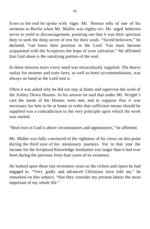Even to the end he spoke with vigor. Mr. Pierson tells of one of his sermons in Berlin when Mr. Muller was eighty-six. He urged believers never to yield to discouragement, pointing out that it was their spiritual duty to seek the deep secret of rest for their souls. "Saved believers," he declared, "can know their position in the Lord. You must become acquainted with the Scriptures the hope of your salvation." He affirmed that God alone is the satisfying portion of the soul.

In these mission tours every need was miraculously supplied. The heavy outlay for steamer and train fares, as well as hotel accommodations, was always on hand as the Lord sent it.

Often it was asked why he did not stay at home and supervise the work of the Ashley Down Houses. In his answer he said that under Mr. Wright's care the needs of the Houses were met, and to suppose that it was necessary for him to be at home in order that sufficient means should be supplied was a contradiction to the very principle upon which the work was started.

"Real trust in God is above circumstances and appearances," he affirmed.

Mr. Muller was fully convinced of the rightness of his views on this point during the third year of his missionary journeys. For in that year the income for the Scriptural Knowledge Institution was larger than it had ever been during the previous forty-four years of its existence.

He looked upon these last seventeen years as the richest and ripest he had engaged in. "Very godly and advanced Christians have told me," he remarked on this subject, "that they consider my present labors the most important of my whole life."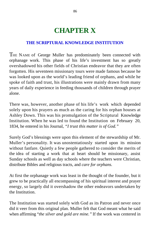## **CHAPTER X**

### **THE SCRIPTURAL KNOWLEDGE INSTITUTION**

THE NAME of George Muller has predominately been connected with orphanage work. This phase of his life's investment has so greatly overshadowed his other fields of Christian endeavor that they are often forgotten. His seventeen missionary tours were made famous because he was looked upon as the world's leading friend of orphans, and while he spoke of faith and trust, his illustrations were mainly drawn from many years of daily experience in feeding thousands of children through prayer alone.

There was, however, another phase of his life's work which depended solely upon his prayers as much as the caring for his orphan houses at Ashley Down. This was his promulgation of the Scriptural Knowledge Institution. When he was led to found the Institution on February 20, 1834, he entered in his Journal, *"I trust this matter is of God."*

Surely God's blessings were upon this element of the stewardship of Mr. Muller's personality. It was unostentatiously started upon its mission without fanfare. Quietly a few people gathered to consider the merits of the idea of starting a work that at heart should be missionary, assist Sunday schools as well as day schools where the teachers were Christian, distribute Bibles and religious tracts, and *care for orphans.*

At first the orphanage work was least in the thought of the founder, but it grew to be practically all encompassing of his spiritual interest and prayer energy, so largely did it overshadow the other endeavors undertaken by the Institution.

The Institution was started solely with God as its Patron and never once did it veer from this original plan. Muller felt that God meant what he said when affirming "*the silver and gold are mine."* If the work was centered in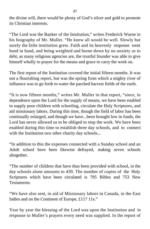the divine will, there would be plenty of God's silver and gold to promote its Christian interests.

"The Lord was the Banker of the Institution," writes Frederick Warne in his biography of Mr. Muller. "He knew all would be well. Slowly but surely the little institution grew. Faith and its heavenly response went hand in hand, and being weighted and borne down by no anxiety as to debt, as many religious agencies are, the trustful founder was able to give himself wholly to prayer for the means and grace to carry the work on.

The first report of the Institution covered the initial fifteen months. It was not a flourishing report, but was the spring from which a mighty river of influence was to go forth to water the parched harvest fields of the earth.

"It is now fifteen months," writes Mr. Muller in that report, "since, in dependence upon the Lord for the supply of means, we have been enabled to supply poor children with schooling, circulate the Holy Scriptures, and aid missionary labors. During this time, though the field of labor has been continually enlarged, and though we have...been brought low in funds, the Lord has never allowed us to be obliged to stop the work. We have been enabled during this time to establish three day schools, and to connect with the Institution two other charity day schools...

"In addition to this the expenses connected with a Sunday school and an Adult school have been likewise defrayed, making seven schools altogether.

"The number of children that have thus been provided with school, in the day schools alone amounts to 439. The number of copies of the Holy Scriptures which have been circulated is 795 Bibles and 753 New Testaments.

"We have also sent, in aid of Missionary labors in Canada, in the East Indies and on the Continent of Europe, £117 11s."

Year by year the blessing of the Lord was upon the Institution and in response to Muller's prayers every need was supplied. In the report of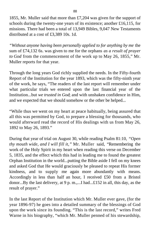1855, Mr. Muller said that more than £7,204 was given for the support of schools during the twenty-one years of its existence; another £16,115, for missions. There had been a total of 13,949 Bibles, 9,047 New Testaments distributed at a cost of £3,389 10s. 1d.

*"Without anyone having been personally applied to for anything by me* the sum of £74,132 6s. was given to me for the orphans *as a result of prayer to God* from the commencement of the work up to May 26, 1855," Mr. Muller reports for that year.

Through the long years God richly supplied the needs. In the Fifty-fourth Report of the Institution for the year 1893, which was the fifty-ninth year of the work, he says, "The readers of the last report will remember under what particular trials we entered upon the last financial year of the Institution...but *we trusted in God*; and with unshaken confidence in Him, and we expected that we should somehow or the other be helped...

"While thus we went on my heart at peace habitually, being assured that all this was permitted by God, to prepare a blessing for thousands, who would afterward read the record of His dealings with us from May 26, 1892 to May 26, 1893."

During that year of trial on August 30, while reading Psalm 81:10, *"Open thy mouth wide, and I will fill it,"* Mr. Muller said, "Remembering the work of the Holy Spirit in my heart when reading this verse on December 5, 1835, and the effect which this had in leading me to found the greatest Orphan Institution in the world...putting the Bible aside I fell on my knees and asked God that He would graciously be pleased to repeat His former kindness, and to supply me again more abundantly with means. Accordingly in less than half an hour, I received £50 from a Bristol donor...By the last delivery, at 9 p. m.,...I had...£152 in all, this day, as the result of prayer."

In the last Report of the Institution which Mr. Muller ever gave, (for the year 1896-97) he goes into a detailed summary of the blessings of God upon the work since its founding. "This is the last record," writes Fred Warne in his biography, "which Mr. Muller penned of his stewardship,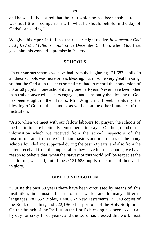and he was fully assured that the fruit which he had been enabled to see was but little in comparison with what he should behold in the day of Christ's appearing."

We give this report in full that the reader might realize *how greatly God had filled Mr. Muller's mouth* since December 5, 1835, when God first gave him this wonderful promise in Psalms.

#### **SCHOOLS**

"In our various schools we have had from the beginning 121,683 pupils. In all these schools was more or less blessing; but in some very great blessing, so that the Christian teachers sometimes had to record the conversion of 50 or 60 pupils in one school during one half-year. Never have been other than truly converted teachers engaged, and constantly the blessing of God has been sought in their labors. Mr. Wright and I seek habitually the blessing of God on the schools, as well as on the other branches of the **Institution** 

"Also, when we meet with our fellow laborers for prayer, the schools of the Institution are habitually remembered in prayer. On the ground of the information which we received from the school inspectors of the Institution, and from the Christian masters and mistresses of the many schools founded and supported during the past 63 years, and also from the letters received from the pupils, after they have left the schools, we have reason to believe that, when the harvest of this world will be reaped at the last in full, we shall, out of these 121,683 pupils, meet tens of thousands in glory.

#### **BIBLE DISTRIBUTION**

"During the past 63 years there have been circulated by means of this Institution, in almost all parts of the world, and in many different languages, 281,652 Bibles, 1,448,662 New Testaments, 21,343 copies of the Book of Psalms, and 222,196 other portions of the Holy Scriptures. On this branch of the Institution the Lord's blessing has been asked day by day for sixty-three years; and the Lord has blessed this work most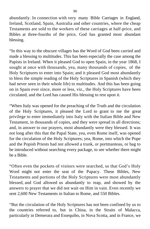abundantly. In connection with very many Bible Carriages in England, Ireland, Scotland, Spain, Australia and other countries, where the cheap Testaments are sold to the workers of these carriages at half-price, and Bibles at three-fourths of the price, God has granted most abundant blessing.

"In this way to the obscure villages has the Word of God been carried and made a blessing to multitudes. This has been especially the case among the Papists in Ireland. When it pleased God to open Spain, in the year 1868, I sought at once with thousands, yea, many thousands of copies, of the Holy Scriptures to enter into Spain; and it pleased God most abundantly to bless the simple reading of the Holy Scriptures in Spanish (which they had never seen in their whole life) to multitudes. And this has been going on in Spain ever since, more or less, viz., the Holy Scriptures have been circulated, and the Lord has caused His blessing to rest upon it.

"When Italy was opened for the preaching of the Truth and the circulation of the Holy Scriptures, it pleased the Lord to grant to me the great privilege to enter immediately into Italy with the Italian Bible and New Testament, in thousands of copies, and they were spread in all directions; and, in answer to our prayers, most abundantly were they blessed. It was not long after this that the Papal State, yea, even Rome itself, was opened for the circulation of the Holy Scriptures; yea, Rome, into which the Pope and the Popish Priests had not allowed a trunk, or portmanteau, or bag to be introduced without searching every package, to see whether there might be a Bible.

"Often even the pockets of visitors were searched, so that God's Holy Word might not enter the seat of the Papacy. These Bibles, New Testaments and portions of the Holy Scriptures were most abundantly blessed, and God allowed us abundantly to reap, and showed by the answers to prayer that we did not wait on Him in vain. Even recently we sent 2,600 New Testaments in Italian to Rome, and 550 Bibles.

"But the circulation of the Holy Scriptures has not been confined by us to the countries referred to, but in China, in the Straits of Malacca, particularly in Demerara and Essequibo, in Nova Scotia, and in France, we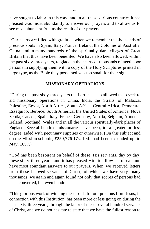have sought to labor in this way; and in all these various countries it has pleased God most abundantly to answer our prayers and to allow us to see most abundant fruit as the result of our prayers.

"Our hearts are filled with gratitude when we remember the thousands of precious souls in Spain, Italy, France, Ireland, the Colonies of Australia, China, and in many hundreds of the spiritually dark villages of Great Britain that thus have been benefited. We have also been allowed, within the past sixty-three years, to gladden the hearts of thousands of aged poor persons in supplying them with a copy of the Holy Scriptures printed in large type, as the Bible they possessed was too small for their sight.

#### **MISSIONARY OPERATIONS**

"During the past sixty-three years the Lord has also allowed us to seek to aid missionary operations in China, India, the Straits of Malacca, Palestine, Egypt, North Africa, South Africa, Central Africa, Demerara, Essequibo, Berbice, South America, the United States of America, Nova Scotia, Canada, Spain, Italy, France, Germany, Austria, Belgium, Armenia, Ireland, Scotland, Wales and in all the various spiritually-dark places of England. Several hundred missionaries have been, to a greater or less degree, aided with pecuniary supplies or otherwise. (On this subject and on the Mission schools, £259,776 17s. 10d. had been expanded up to May, 1897.)

"God has been besought on behalf of these, His servants, day by day, these sixty-three years, and it has pleased Him to allow us to reap and have most abundant answers to our prayers. When we received letters from these beloved servants of Christ, of which we have very many thousands, we again and again found not only that scores of persons had been converted, but even hundreds.

"This glorious work of winning these souls for our precious Lord Jesus, in connection with this Institution, has been more or less going on during the past sixty-three years, through the labor of these several hundred servants of Christ, and we do not hesitate to state that we have the fullest reason to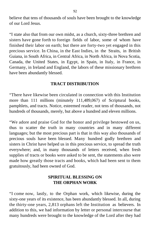believe that tens of thousands of souls have been brought to the knowledge of our Lord Jesus.

"I state also that from our own midst, as a church, sixty-three brethren and sisters have gone forth to foreign fields of labor, some of whom have finished their labor on earth; but there are forty-two yet engaged in this precious service. In China, in the East Indies, in the Straits, in British Guiana, in South Africa, in Central Africa, in North Africa, in Nova Scotia, Canada, the United States, in Egypt, in Spain, in Italy, in France, in Germany, in Ireland and England, the labors of these missionary brethren have been abundantly blessed.

#### **TRACT DISTRIBUTION**

"There have likewise been circulated in connection with this Institution more than 111 millions (minutely 111,489,067) of Scriptural books, pamphlets, and tracts. Notice, esteemed reader, not tens of thousands, not hundreds of thousands, merely, but above a hundred and eleven millions.

"We adore and praise God for the honor and privilege bestowed on us, thus to scatter the truth in many countries and in many different languages; but the most precious part is that in this way also thousands of precious souls have been blessed. Many hundred godly brethren and sisters in Christ have helped us in this precious service, to spread the truth everywhere; and, in many thousands of letters received, when fresh supplies of tracts or books were asked to be sent, the statements also were made how greatly those tracts and books, which had been sent to them gratuitously, had been owned of God.

### **SPIRITUAL BLESSING ON THE ORPHAN WORK**

"I come now, lastly, to the Orphan work, which likewise, during the sixty-one years of its existence, has been abundantly blessed. In all, during the thirty-one years, 2,813 orphans left the Institution as believers. In addition to this, we had information by letter or personal intercourse that many hundreds were brought to the knowledge of the Lord after they had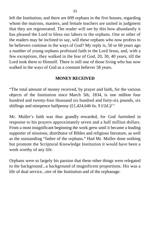left the Institution; and there are 609 orphans in the five houses, regarding whom the matrons, masters, and female teachers are united in judgment that they are regenerated. The reader will see by this how abundantly it has pleased the Lord to bless our labors to the orphans. One or other of the readers may be inclined to say, will these orphans who now profess to be believers continue in the ways of God? My reply is, 50 or 60 years ago a number of young orphans professed faith in the Lord Jesus, and, with a few exceptions, they walked in the fear of God, 20, 30, 40 years, till the Lord took them to Himself. There is still one of those living who has now walked in the ways of God as a constant believer 58 years.

#### **MONEY RECEIVED**

"The total amount of money received, by prayer and faith, for the various objects of the Institution since March 5th, 1834, is one million four hundred and twenty-four thousand six hundred and forty-six pounds, six shillings and ninepence halfpenny (£1,424,646 6s. 9 l/2d.)!''

Mr. Muller's faith was thus grandly rewarded, for God furnished in response to his prayers approximately seven and a half million dollars. From a most insignificant beginning the work grew until it became a leading supporter of missions, distributor of Bibles and religious literature, as well as the outstanding "father of the orphans." Had Mr. Muller done nothing but promote the Scriptural Knowledge Institution it would have been a work worthy of any life.

Orphans were so largely his passion that these other things were relegated to the background...a background of magnificent proportions. His was a life of dual service...sire of the Institution and of the orphanage.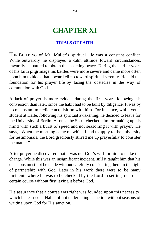## **CHAPTER XI**

#### **TRIALS OF FAITH**

THE BUILDING of Mr. Muller's spiritual life was a constant conflict. While outwardly he displayed a calm attitude toward circumstances, inwardly he battled to obtain this seeming peace. During the earlier years of his faith pilgrimage his battles were more severe and came more often upon him to block that upward climb toward spiritual serenity. He laid the foundation for his prayer life by facing the obstacles in the way of communion with God.

A lack of prayer is more evident during the first years following his conversion than later, since the habit had to be built by diligence. It was by no means an immediate acquisition with him. For instance, while yet a student at Halle, following his spiritual awakening, he decided to leave for the University of Berlin. At once the Spirit checked him for making up his mind with such a burst of speed and not seasoning it with prayer. He says, "When the morning came on which I had to apply to the university for testimonials, the Lord graciously stirred me up prayerfully to consider the matter."

After prayer he discovered that it was not God's will for him to make the change. While this was an insignificant incident, still it taught him that his decisions must not be made without carefully considering them in the light of partnership with God. Later in his work there were to be many incidents where he was to be checked by the Lord in setting out on a certain course without first laying it before God.

His assurance that a course was right was founded upon this necessity, which he learned at Halle, of not undertaking an action without seasons of waiting upon God for His sanction.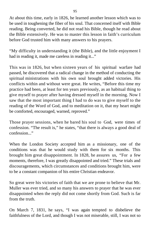At about this time, early in 1826, he learned another lesson which was to be used in toughening the fiber of his soul. That concerned itself with Bible reading. Being converted, he did not read his Bible, though he read about the Bible extensively. He was to master this lesson in faith's curriculum before God trusted him with many answers to his prayers.

"My difficulty in understanding it (the Bible), and the little enjoyment I had in reading it, made me careless in reading it..."

This was in 1826, but when sixteen years of his spiritual warfare had passed, he discovered that a radical change in the method of conducting the spiritual ministrations with his own soul brought added victories. His conflicts within and without were great. He writes, "Before this time my practice had been, at least for ten years previously, as an habitual thing to give myself to prayer after having dressed myself in the morning. Now I saw that the most important thing I had to do was to give myself to the reading of the Word of God, and to meditation on it, that my heart might be comforted, encouraged, warned, reproved."

Those prayer sessions, when he bared his soul to God, were times of confession. "The result is," he states, "that there is always a good deal of confession."

When the London Society accepted him as a missionary, one of the conditions was that he would study with them for six months. This brought him great disappointment. In 1828, he assures us, "For a few moments, therefore, I was greatly disappointed and tried." These trials and discouragements, which circumstances and conditions brought him, were to be a constant companion of his entire Christian endeavor.

So great were his victories of faith that we are prone to believe that Mr. Muller was ever tried, and so many his answers to prayer that he was ever disappointed when the reply did not come shortly from God. Such is far from the truth.

On March 7, 1831, he says, "I was again tempted to disbelieve the faithfulness of the Lord, and though I was not miserable, still, I was not so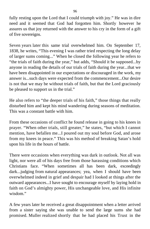fully resting upon the Lord that I could triumph with joy." He was in dire need and it seemed that God had forgotten him. Shortly however he assures us that joy returned with the answer to his cry in the form of a gift of five sovereigns.

Seven years later this same trial overwhelmed him. On September 17, 1838, he writes, "This evening I was rather tried respecting the long delay of larger sums coming..." When he closed the following year he refers to "the trials of faith during the year," but adds, "Should it be supposed...by anyone in reading the details of our trials of faith during the year...that we have been disappointed in our expectations or discouraged in the work, my answer is...such days were expected from the commencement...Our desire is not that we may be without trials of faith, but that the Lord graciously be pleased to support us in the trial."

He also refers to "the deeper trials of his faith," those things that really disturbed him and kept his mind wandering during seasons of meditation. This was a constant battle with him.

From these occasions of conflict he found release in going to his knees in prayer. "When other trials, still greater," he states, "but which I cannot mention, have befallen me...I poured out my soul before God, and arose from my knees in peace." This was his method of breaking Satan's hold upon his life in the hours of battle.

There were occasions when everything was dark in outlook. Not all was light, nor were all of his days free from those harassing conditions which Christians face. "When sometimes all has been dark, exceedingly dark...judging from natural appearances; yea, when I should have been overwhelmed indeed in grief and despair had I looked at things after the outward appearances...I have sought to encourage myself by laying hold in faith on God's almighty power, His unchangeable love, and His infinite wisdom."

A few years later he received a great disappointment when a letter arrived from a sister saying she was unable to send the large sums she had promised. Muller realized shortly that he had placed his Trust in the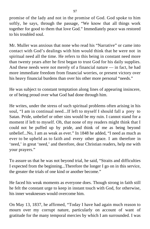promise of the lady and not in the promise of God. God spoke to him softly, he says, through the passage, "We know that all things work together for good to them that love God." Immediately peace was restored to his troubled soul.

Mr. Muller was anxious that none who read his "Narrative" or came into contact with God's dealings with him would think that he were not in spiritual need all the time. He refers to this being in constant need more than twenty years after he first began to trust God for his daily supplies. And these needs were not merely of a financial nature — in fact, he had more immediate freedom from financial worries, or present victory over his heavy financial burdens than over his other more personal "needs."

He was subject to constant temptation along lines of appearing insincere, or of being proud over what God had done through him.

He writes, under the stress of such spiritual problems often arising in his soul, "I am in continual need...If left to myself I should fall a prey to Satan. Pride, unbelief or other sins would be my ruin. I cannot stand for a moment if left to myself. Oh, that none of my readers might think that I could not be puffed up by pride, and think of me as being beyond unbelief...No, I am as weak as ever." In 1848 he added, "I need as much as ever to be upheld as to faith and every other grace. I am therefore in 'need,' in great 'need,' and therefore, dear Christian readers, help me with your prayers."

To assure us that he was not beyond trial, he said, "Straits and difficulties I expected from the beginning...Therefore the longer I go on in this service, the greater the trials of one kind or another become."

He faced his weak moments as everyone does. Though strong in faith still he felt the constant urge to keep in instant touch with God, for otherwise, his inner weaknesses would overcome him.

On May 13, 1837, he affirmed, "Today I have had again much reason to mourn over my corrupt nature, particularly on account of want of gratitude for the many temporal mercies by which I am surrounded. I was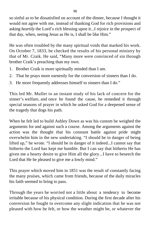so sinful as to be dissatisfied on account of the dinner, because I thought it would not agree with me, instead of thanking God for rich provisions and asking *heartily* the Lord's rich blessing upon it...I rejoice in the prospect of that day, when, seeing Jesus as He is, I shall be like Him."

He was often troubled by the many spiritual voids that marked his work. On October 7, 1833, he checked the results of his personal ministry by that of Mr. Craik. He said, "Many more were convinced of sin through brother Craik's preaching than my own.

- 1. Brother Craik is more spiritually minded than I am.
- 2. That he prays more earnestly for the conversion of sinners than I do.
- 3. He more frequently addresses himself to sinners than I do."

This led Mr. Muller to an instant study of his lack of concern for the sinner's welfare, and once he found the cause, he remedied it through special seasons of prayer in which he asked God for a deepened sense of the tragedy that dogs his path.

When he felt led to build Ashley Down as was his custom he weighed the arguments for and against such a course. Among the arguments against the action was the thought that his constant battle against pride might overwhelm him in the new undertaking. "I should be in danger of being lifted up," he wrote. "I should be in danger of it indeed...I cannot say that hitherto the Lord has kept me humble. But I can say that hitherto He has given me a hearty desire to give Him all the glory...I have to beseech the Lord that He be pleased to give me a lowly mind."

This prayer which moved him in 1851 was the result of constantly facing the many praises, which came from friends, because of the daily miracles his faith seemed to bring to pass.

Through the years he worried not a little about a tendency to become irritable because of his physical condition. During the first decade after his conversion he fought to overcome any slight indication that he was not pleased with how he felt, or how the weather might be, or whatever the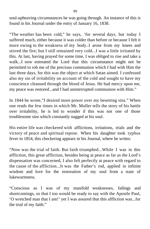soul-upheaving circumstances he was going through. An instance of this is found in his Journal under the entry of January 16, 1838.

"The weather has been cold," he says, 'for several days, but today I suffered much, either because it was colder than before or because I felt it more owing to the weakness of my body..I arose from my knees and stirred the fire; but I still remained very cold...I was a little irritated by this. At last, having prayed for some time, I was obliged to rise and take a walk...I now entreated the Lord that this circumstance might not be permitted to rob me of the precious communion which I had with Him the last three days, for this was the object at which Satan aimed. I confessed also my sin of irritability on account of the cold and sought to have my conscience cleansed through the blood of Jesus. He had mercy upon me, my peace was restored...and I had uninterrupted communion with Him."

In 1844 he wrote,"I desired more power over my besetting sins." When one reads the few times in which Mr. Muller tells the story of his battle over irritability, he is led to wonder if this was not one of those troublesome sins which constantly nagged at his soul.

His entire life was checkered with afflictions, irritations, trials and the victory of peace and spiritual repose. When his daughter took typhus fever in 1854, this checkering appears in his Journal, where he writes:

"Now was the trial of faith. But faith triumphed...While I was in this affliction, this great affliction, besides being at peace as far as the Lord's dispensation was concerned, I also felt perfectly at peace with regard to the cause of the affliction...It was the Father's rod, applied in infinite wisdom and love for the restoration of my soul from a state of lukewarmness.

"Conscious as I was of my manifold weaknesses, failings and shortcomings, so that I too would be ready to say with the Apostle Paul, 'O wretched man that I am!' yet I was assured that this affliction was...for the trial of my faith."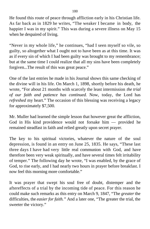He found this route of peace through affliction early in his Christian life. As far back as in 1829 he writes, "The weaker I became in body, the happier I was in my spirit." This was during a severe illness on May 15 when he despaired of living.

"Never in my whole life," he continues, "had I seen myself so vile, so guilty, so altogether what I ought not to have been as at this time. It was as if every sin of which I had been guilty was brought to my remembrance; but at the same time I could realize that all my sins have been completely forgiven...The result of this was great peace."

One of the last entries he made in his Journal shows this same checking of the divine will in his life. On March 1, 1898, shortly before his death, he wrote, "For about 21 months with scarcely the least intermission *the trial of our faith and patience has continued.* Now, today, the Lord has *refreshed* my heart." The occasion of this blessing was receiving a legacy for approximately \$7,500.

Mr. Muller had learned the simple lesson that however great the affliction, God in His kind providence would not forsake him — provided he remained steadfast in faith and relied greatly upon secret prayer.

The key to his spiritual victories, whatever the nature of the soul depression, is found in an entry on June 25, 1835. He says, "These last three days I have had very little real communion with God, and have therefore been very weak spiritually, and have several times felt irritability of temper." The following day he wrote, "I was enabled, by the grace of God, to rise early, and I had nearly two hours in prayer before breakfast. I now feel this morning more comfortable."

It was prayer that swept his soul free of doubt, distemper and the aftereffects of a trial by the incoming tide of peace. For this reason he could make such remarks as this entry on March 9, 1847, "The *greater* the difficulties, the *easier for faith."* And a later one, "The greater the trial, the sweeter the victory."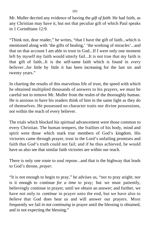Mr. Muller decried any evidence of having the *gift of faith.* He had faith, as any Christian may have it, but not that peculiar gift of which Paul speaks in 1 Corinthians 12:9.

"Think not, dear reader," he writes, "that I have the gift of faith...which is mentioned along with 'the gifts of healing,' 'the working of miracles'...and that on that account I am able to trust in God...If I were only one moment left by myself my faith would utterly fail...It is not true that my faith is that gift of faith...It is the self-same faith which is found in *every believer...for* little by little it has been increasing for the last six and twenty years."

In charting the results of this marvelous life of trust, the speed with which he obtained multiplied thousands of answers to his prayers, we must be careful not to remove Mr. Muller from the realm of the thoroughly human. He is anxious to have his readers think of him in the same light as they do of themselves. He possessed no character traits nor divine possessions, not within the reach of every believer.

The trials which blocked his spiritual advancement were those common to every Christian. The human tempers, the frailties of his body, mind and spirit were those which mark true members of God's kingdom. His victories came through prayer, trust in the Lord's unfailing promises and faith that God's truth could not fail; and if he thus achieved, he would have us also see that similar faith victories are within our reach.

There is only one route to soul repose...and that is the highway that leads to God's throne, *prayer.*

"It is not enough to begin to pray," he advises us, "nor to pray aright; nor is it enough to continue *for a time* to pray; but we must patiently, believingly continue in prayer, until we obtain an answer; and further, we have not only to *continue* in prayer unto the end, but we have also to *believe* that God does hear us and will answer our prayers. Most frequently we fail *in not continuing* in prayer until the blessing is obtained, and in not expecting the blessing."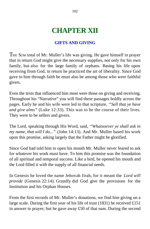# **CHAPTER XII**

## **GIFTS AND GIVING**

THE SUM total of Mr. Muller's life was giving. He gave himself in prayer that in return God might give the necessary supplies, not only for his own family, but also for the large family of orphans. Basing his life upon receiving from God, in return he practiced the art of liberality. Since God gave to him through faith he must also be among those who were faithful givers.

Even the texts that influenced him most were those on giving and receiving. Throughout his "Narrative" you will find these passages boldly across the pages. Early he and his wife were led to that scripture, *"Sell that ye have and give alms"* (Luke 12:33). This was to be the course of their lives. They were to be sellers and givers.

The Lord, speaking through His Word, said, *"Whatsoever ye shall ask in my name, that will I do..."* (John 14:13). And Mr. Muller based his work upon this promise, asking largely that the Father might be glorified.

Since God had told him to open his mouth Mr. Muller never feared to ask for whatever his work must have. To him this promise was the foundation of all spiritual and temporal success. Like a bird, he opened his mouth and the Lord filled it with the supply of all financial needs.

In Genesis he loved the name Jehovah Jirah, for it meant the *Lord will provide* (Genesis 22:14). Grandly did God give the provisions for the Institution and his Orphan Houses.

From the first records of Mr. Muller's donations, we find him giving on a large scale. During the first year of his life of trust (1831) he received £151 in answer to prayer; but he gave away £50 of that sum. During the second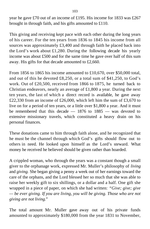year he gave £70 out of an income of £195. His income for 1833 was £267 brought in through faith, and his gifts amounted to £110.

This giving and receiving kept pace with each other during the long years of his career. For the ten years from 1836 to 1845 his income from all sources was approximately £3,400 and through faith he placed back into the Lord's work about £1,280. During the following decade his yearly income was about £500 and for the same time he gave over half of this sum away. His gifts for that decade amounted to £2,660.

From 1856 to 1865 his income amounted to £10,670, over \$50,000 total, and out of this he devoted £8,250, or a total sum of \$41,250, to God's work. Out of £20,500, received from 1866 to 1875, he turned back to Christian endeavors, nearly an average of £1,800 a year. During the next ten years, the last of which a direct record is available, he gave away £22,330 from an income of £26,000, which left him the sum of £3,670 to live on for a period of ten years, or a little over \$1,800 a year. And it must be remembered that this decade  $-$  1876 to 1885  $-$  was devoted to extensive missionary travels, which constituted a heavy drain on his personal finances.

These donations came to him through faith alone, and he recognized that he must be the channel through which God's gifts should flow out to others in need. He looked upon himself as the Lord's steward. What money he received he believed should be given rather than hoarded.

A crippled woman, who through the years was a constant though a small giver to the orphanage work, expressed Mr. Muller's philosophy of *living* and *giving.* She began giving a penny a week out of her earnings toward the care of the orphans, and the Lord blessed her so much that she was able to raise her weekly gift to six shillings, or a dollar and a half. One gift she wrapped in a piece of paper, on which she had written: *"Give; give; give — be ever giving. If you are living, you will be giving. Those who are not giving are not living*."

The total amount Mr. Muller gave away out of his private funds amounted to approximately \$180,000 from the year 1831 to November,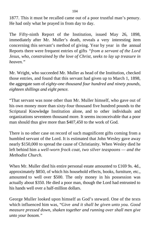1877. This it must be recalled came out of a poor trustful man's penury. He had only what he prayed in from day to day.

The Fifty-ninth Report of the Institution, issued May 26, 1898, immediately after Mr. Muller's death, reveals a very interesting item concerning this servant's method of giving. Year by year in the annual Reports there were frequent entries of gifts *"from a servant of the Lord Jesus, who, constrained by the love of Christ, seeks to lay up treasure in heaven."*

Mr. Wright, who succeeded Mr. Muller as head of the Institution, checked those entries, and found that this servant had given up to March 1, 1898, the aggregate sum of *eighty-one thousand four hundred and ninety pounds, eighteen shillings and eight pence.*

"That servant was none other than Mr. Muller himself, who gave out of his own money more than sixty-four thousand five hundred pounds to the Scriptural Knowledge Institution alone, and to other individuals and organizations seventeen thousand more. It seems inconceivable that a poor man should thus give more than \$407,450 to the work of God.

There is no other case on record of such magnificent gifts coming from a humbled servant of the Lord. It is estimated that John Wesley gave away nearly \$150,000 to spread the cause of Christianity. When Wesley died he left behind him a *well-worn frock coat, two silver teaspoons — and the Methodist Church.*

When Mr. Muller died his entire personal estate amounted to £169 9s. 4d., approximately \$850, of which his household effects, books, furniture, etc., amounted to well over \$500. The only money in his possession was actually about \$350. He died a poor man, though the Lord had entrusted to his hands well over a half-million dollars.

George Muller looked upon himself as God's steward. One of the texts which influenced him was, "Give *and it shall be given unto you. Good measure pressed down, shaken together and running over shall men give unto your bosom."*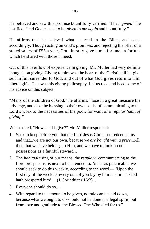He believed and saw this promise bountifully verified. "I had *given,"* he testified, "and God caused to be *given to me again* and bountifully."

He affirms that he believed what he read in the Bible, and acted accordingly. Though acting on God's promises, and rejecting the offer of a stated salary of £55 a year, God literally gave him a fortune...a fortune which he shared with those in need.

Out of this overflow of experience in giving, Mr. Muller had very definite thoughts on giving. Giving to him was the heart of the Christian life...give self in full surrender to God, and out of what God gives return to Him liberal gifts. This was his giving philosophy. Let us read and heed some of his advice on this subject.

"Many of the children of God," he affirms, "lose in a great measure the privilege, and also the blessing to their own souls, of communicating to the Lord s work to the necessities of the poor, for want of a *regular habit of giving."*

When asked, "How shall I give?" Mr. Muller responded:

- 1. Seek to keep before you that the Lord Jesus Christ has redeemed us, and that...we are not our own, because *we are bought with a price...*All then that we have belongs to Him, and we have to look on our possessions as a faithful steward...
- 2. The *habitual* using of our means, the *regularly* communicating as the Lord prospers us, is next to be attended to. As far as practicable, we should seek to do this weekly, according to the word — 'Upon the first day of the week let every one of you lay by him in store as God hath prospered him' (1 Corinthians 16:2)...
- 3. Everyone should do so....
- 4. With regard to the amount to be given, no rule can be laid down, because what we ought to do should not be done in a legal spirit, but from love and gratitude to the Blessed One Who died for us."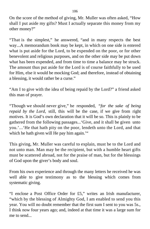On the score of the method of giving, Mr. Muller was often asked, "How shall I put aside my gifts? Must I actually separate this money from my other money?"

"That is the simplest," he answered, "and in many respects the best way...A memorandum book may be kept, in which on one side is entered what is put aside for the Lord, to be expended on the poor, or for other benevolent and religious purposes, and on the other side may be put down what has been expended, and from time to time a balance may be struck. The amount thus put aside for the Lord is of course faithfully to be used for Him, else it would be mocking God; and therefore, instead of obtaining a blessing, it would rather be a curse."

"Am I to give with the idea of being repaid by the Lord?" a friend asked this man of prayer.

"Though we should never give," he responded, *"for the sake of being repaid by the Lord,* still, this will be the case, if we give from right motives. It is God's own declaration that it will be so. This is plainly to be gathered from the following passages...'Give, and it shall be given unto you.'...'He that hath pity on the poor, lendeth unto the Lord, and that which he hath given will He pay him again."

This giving, Mr. Muller was careful to explain, must be to the Lord and not unto man. Man may be the recipient, but with a humble heart gifts must be scattered abroad, not for the praise of man, but for the blessings of God upon the giver's body and soul.

From his own experience and through the many letters he received he was well able to give testimony as to the blessing which comes from systematic giving.

"I enclose a Post Office Order for £5," writes an Irish manufacturer, "which by the blessing of Almighty God, I am enabled to send you this year. You will no doubt remember that the first sum I sent to you was 5s., I think now four years ago; and, indeed at that time it was a large sum for me to send...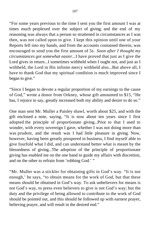"For some years previous to the time I sent you the first amount I was at times much perplexed over the subject of giving; and the end of my reasoning was always that a person so straitened in circumstances as I was then, was not called upon to give. I kept this opinion until one of your Reports fell into my hands, and from the accounts contained therein, was encouraged to send you the first amount of 5s. *Soon after I thought my circumstances got somewhat easier..*.I have proved that just as I give the Lord gives in return...I sometimes withheld when I ought not, and just as I withheld, the Lord in His infinite mercy withheld also...But above all, I have to thank God that my spiritual condition is much improved since I began to give."

"Since I began to devote a regular proportion of my earnings to the cause of God," wrote a donor from Orkney, whose gift amounted to \$15, "He has, I rejoice to say, greatly increased both my ability and desire to do so."

One man sent Mr. Muller a Paisley shawl, worth about \$25, and with the gift enclosed a note, saying, "It is now about ten years since I first adopted the principle of proportionate giving...Prior to that I used to wonder, with every sovereign I gave, whether I was not doing more than was prudent, and the result was I had little pleasure in giving. Now, however, having been greatly prospered in business, I find myself able to give fourfold what I did, and can understand better what is meant by the blessedness of giving...The adoption of the principle of proportionate giving has enabled me on the one hand to guide my affairs with discretion, and on the other to refrain from 'robbing God.' "

"Mr. Muller was a stickler for obtaining gifts in God's way. "It is not enough,' he says, "to obtain means for the work of God, but that these means should be obtained in God's way. To ask unbelievers for means is not God's way, to press even believers to give is not God's way; but the duty and the privilege of being allowed to contribute to the work of God should be pointed out, and this should be followed up with earnest prayer, believing prayer, and will result in the desired end."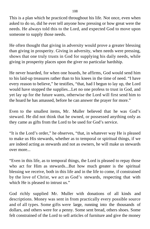This is a plan which he practiced throughout his life. Not once, even when asked to do so, did he ever tell anyone how pressing or how great were the needs. He always told this to the Lord, and expected God to move upon someone to supply those needs.

He often thought that giving in adversity would prove a greater blessing than giving in prosperity. Giving in adversity, when needs were pressing, shows that one truly trusts in God for supplying his daily needs, while giving in prosperity places upon the giver no particular hardship.

He never hoarded, for when one hoards, he affirms, God would send him to his laid-up treasures rather than to his knees in the time of need. "I have every reason to believe," he testifies, "that, had I begun to lay up, the Lord would have stopped the supplies...Let no one profess to trust in God, and yet lay up for the future wants, otherwise the Lord will first send him to the hoard he has amassed, before he can answer the prayer for more."

Even to the smallest items, Mr. Muller believed that he was God's steward. He did not think that he owned, or possessed anything only as they came as gifts from the Lord to be used for God's service.

"It is the Lord's order," he observes, "that, in whatever way He is pleased to make us His stewards, whether as to temporal or spiritual things, if we are indeed acting as stewards and not as owners, he will make us stewards over more...

"Even in this life, as to temporal things, the Lord is pleased to repay those who act for Him as stewards...But how much greater is the spiritual blessing we receive, both in this life and in the life to come, if constrained by the love of Christ, we act as God's stewards, respecting that with which He is pleased to intrust us."

God richly supplied Mr. Muller with donations of all kinds and descriptions. Money was sent in from practically every possible source and of all types. Some gifts were large, running into the thousands of dollars, and others were for a penny. Some sent bread, others shoes. Some felt constrained of the Lord to sell articles of furniture and give the money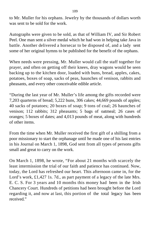to Mr. Muller for his orphans. Jewelry by the thousands of dollars worth was sent to be sold for the work.

Autographs were given to be sold, as that of William IV, and Sir Robert Peel. One man sent a silver medal which he had won in helping take Java in battle. Another delivered a horsecar to be disposed of, and a lady sent some of her original hymns to be published for the benefit of the orphans.

When needs were pressing, Mr. Muller would call the staff together for prayer, and often on getting off their knees, dray wagons would be seen backing up to the kitchen door, loaded with buns, bread, apples, cakes, potatoes, boxes of soap, sacks of peas, haunches of venison, rabbits and pheasants, and every other conceivable edible article.

"During the last year of Mr. Muller's life among the gifts recorded were 7,203 quarterns of bread; 5,222 buns, 306 cakes; 44,669 pounds of apples; 40 sacks of potatoes; 20 boxes of soap; 9 tons of coal; 26 haunches of venison; 112 rabbits; 312 pheasants; 5 bags of oatmeal; 26 cases of oranges; 5 boxes of dates; and 4,013 pounds of meat, along with hundreds of other items.

From the time when Mr. Muller received the first gift of a shilling from a poor missionary to start the orphanage until he made one of his last entries in his Journal on March 1, 1898, God sent from all types of persons gifts small and great to carry on the work.

On March 1, 1898, he wrote, "For about 21 months with scarcely the least intermission the trial of our faith and patience has continued. Now, today, the Lord has refreshed our heart. This afternoon came in, for the Lord's work, £1,427 1s. 7d., as part payment of a legacy of the late Mrs. E. C. S. For 3 years and 10 months this money had been in the Irish Chancery Court. Hundreds of petitions had been brought before the Lord regarding it, and now at last, this portion of the total legacy has been received."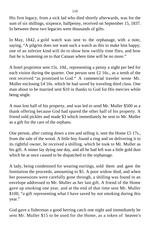His first legacy, from a sick lad who died shortly afterwards, was for the sum of six shillings, sixpence, halfpenny, received on September 15, 1837. In between these two legacies were thousands of gifts.

In May, 1842, a gold watch was sent to the orphanage, with a note, saying, "A pilgrim does not want such a watch as this to make him happy; one of an inferior kind will do to show how swiftly time flies, and how fast he is hastening on to that Canaan where time will be no more."

A hotel proprietor sent 15s. 10d., representing a penny a night per bed for each visitor during the quarter. One person sent £2 16s., as a tenth of the rent received "as promised to God." A commercial traveler wrote Mr. Muller enclosing £4 16s. which he had saved by traveling third class. One man about to be married sent \$10 in thanks to God for His mercies while being single.

A man lost half of his property, and was led to send Mr. Muller \$500 as a thank offering because God had spared the other half of his property. A friend sold pickles and made \$3 which immediately he sent to Mr. Muller as a gift for the care of the orphans.

One person, after cutting down a tree and selling it, sent the Home £5 17s., from the sale of the wood. A little boy found a ring and on delivering it to its rightful owner, he received a shilling, which he took to Mr. Muller as his gift. A miner lay dying one day, and all he had left was a little gold dust which he at once caused to be dispatched to the orphanage.

A lady, being condemned for wearing earrings, sold them and gave the Institution the proceeds, amounting to \$5. A poor widow died, and when her possessions were carefully gone through, a shilling was found in an envelope addressed to Mr. Muller as her last gift. A friend of the Home gave up smoking one year, and at the end of that time sent Mr. Muller \$100, "a gift representing what I have saved by not smoking during this year."

God gave a fisherman a good herring catch one night and immediately he sent Mr. Muller \$15 to be used for the Home, as a token of heaven's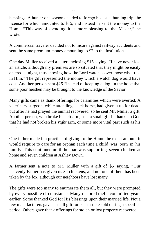blessings. A hunter one season decided to forego his usual hunting trip, the license for which amounted to \$15, and instead he sent the money to the Home. "This way of spending it is more pleasing to the Master," he wrote.

A commercial traveler decided not to insure against railway accidents and sent the same premium money amounting to £2 to the Institution.

One day Muller received a letter enclosing \$15 saying, "I have never lost an article, although my premises are so situated that they might be easily entered at night, thus showing how the Lord watches over those who trust in Him." The gift represented the money which a watch dog would have cost. Another person sent \$25 "instead of keeping a dog, in the hope that some poor heathen may be brought to the knowledge of the Savior."

Many gifts came as thank offerings for calamities which were averted. A veterinary surgeon, while attending a sick horse, had given it up for dead, but after he had prayed the animal recovered, so he sent Mr. Muller a gift. Another person, who broke his left arm, sent a small gift in thanks to God that he had not broken his *right* arm, or some more vital part such as his neck.

One father made it a practice of giving to the Home the exact amount it would require to care for an orphan each time a child was born in his family. This continued until the man was supporting seven children at home and seven children at Ashley Down.

A farmer sent a note to Mr. Muller with a gift of \$5 saying, "Our heavenly Father has given us 34 chickens, and not one of them has been taken by the fox, although our neighbors have lost many."

The gifts were too many to enumerate them all, but they were prompted by every possible circumstance. Many restored thefts committed years earlier. Some thanked God for His blessings upon their married life. Not a few manufacturers gave a small gift for each article sold during a specified period. Others gave thank offerings for stolen or lost property recovered.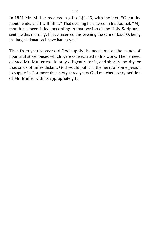In 1851 Mr. Muller received a gift of \$1.25, with the text, "Open thy mouth wide, and I will fill it." That evening he entered in his Journal, "My mouth has been filled, according to that portion of the Holy Scriptures sent me this morning. I have received this evening the sum of £3,000, being the largest donation I have had as yet."

Thus from year to year did God supply the needs out of thousands of bountiful storehouses which were consecrated to his work. Then a need existed Mr. Muller would pray diligently for it, and shortly nearby or thousands of miles distant, God would put it in the heart of some person to supply it. For more than sixty-three years God matched every petition of Mr. Muller with its appropriate gift.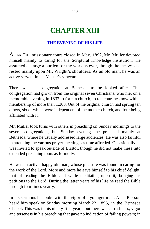# **CHAPTER XIII**

#### **THE EVENING OF HIS LIFE**

AFTER THE missionary tours closed in May, 1892, Mr. Muller devoted himself mainly to caring for the Scriptural Knowledge Institution. He assumed as large a burden for the work as ever, though the heavy end rested mainly upon Mr. Wright's shoulders. As an old man, he was an active servant in his Master's vineyard.

There was his congregation at Bethesda to be looked after. This congregation had grown from the original seven Christians, who met on a memorable evening in 1832 to form a church, to ten churches now with a membership of more than 1,200. Out of the original church had sprung ten others, six of which were independent of the mother church, and four being affiliated with it.

Mr. Muller took turns with others in preaching on Sunday mornings to the several congregations, but Sunday evenings he preached mainly at Bethesda, where he usually addressed large audiences. He was also faithful in attending the various prayer meetings as time afforded. Occasionally he was invited to speak outside of Bristol, though he did not make these into extended preaching tours as formerly.

He was an active, happy old man, whose pleasure was found in caring for the work of the Lord. More and more he gave himself to his chief delight, that of reading the Bible and while meditating upon it, bringing his petitions to the Lord. During the latter years of his life he read the Bible through four times yearly.

In his sermons he spoke with the vigor of a younger man. A. T. Pierson heard him speak on Sunday morning March 22, 1896, in the Bethesda Chapel. This was in his ninety-first year, "but there was a freshness, vigor and terseness in his preaching that gave no indication of failing powers; in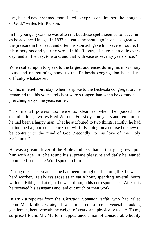fact, he had never seemed more fitted to express and impress the thoughts of God," writes Mr. Pierson.

In his younger years he was often ill, but these spells seemed to leave him as he advanced in age. In 1837 he feared he should go insane, so great was the pressure in his head, and often his stomach gave him severe trouble. In his ninety-second year he wrote in his Report, "I have been able every day, and all the day, to work, and that with ease as seventy years since."

When called upon to speak to the largest audiences during his missionary tours and on returning home to the Bethesda congregation he had no difficulty whatsoever.

On his ninetieth birthday, when he spoke to the Bethesda congregation, he remarked that his voice and chest were stronger than when he commenced preaching sixty-nine years earlier.

"His mental powers too were as clear as when he passed his examinations," writes Fred Warne. "For sixty-nine years and ten months he had been a happy man. That he attributed to two things. Firstly, he had maintained a good conscience, not willfully going on a course he knew to be contrary to the mind of God...Secondly, to his love of the Holy Scriptures."

He was a greater lover of the Bible at ninety than at thirty. It grew upon him with age. In it he found his supreme pleasure and daily he waited upon the Lord as the Word spoke to him.

During these last years, as he had been throughout his long life, he was a hard worker. He always arose at an early hour, spending several hours with the Bible, and at eight he went through his correspondence. After this he received his assistants and laid out much of their work.

In 1892 a reporter from the *Christian Commonwealth,* who had called upon Mr. Muller, wrote, "I was prepared to see a venerable-looking gentleman, bent beneath the weight of years, and physically feeble. To my surprise I found Mr. Muller in appearance a man of considerable bodily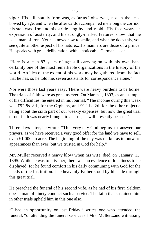vigor. His tall, stately form was, as far as I observed, not in the least bowed by age, and when he afterwards accompanied me along the corridor his step was firm and his stride lengthy and rapid. His face wears an expression of austerity, and his strongly-marked features show that he is...a man of iron. Yet he knows how to smile, and when he does this, you see quite another aspect of his nature...His manners are those of a prince. He speaks with great deliberation, with a noticeable German accent.

"Here is a man 87 years of age still carrying on with his own hand certainly one of the most remarkable organizations in the history of the world. An idea of the extent of his work may be gathered from the fact that he has, so he told me, seven assistants for correspondence alone."

Nor were those last years easy. There were heavy burdens to be borne. The trials of faith were as great as ever. On March 1, 1893, as an example of his difficulties, he entered in his Journal, "The income during this week was £92 8s. 8d., for the Orphans, and £9 11s. 2d. for the other objects; being about the sixth part of our weekly expenses; but now the great trial of our faith was nearly brought to a close, as will presently be seen."

Three days later, he wrote, "This very day God begins to answer our prayers, as we have received a very good offer for the land we have to sell, even £1,000 an acre. The beginning of the day was darker as to outward appearances than ever: but we trusted in God for help."

Mr. Muller received a heavy blow when his wife died on January 13, 1895. While he was to miss her, there was no evidence of loneliness to be displayed; for he found comfort in his daily communing with God for the needs of the Institution. The heavenly Father stood by his side through this great trial.

He preached the funeral of his second wife, as he had of his first. Seldom does a man of ninety conduct such a service. The faith that sustained him in other trials upheld him in this one also.

"I had an opportunity on last Friday," writes one who attended the funeral, "of attending the funeral services of Mrs. Muller...and witnessing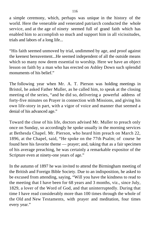a simple ceremony, which, perhaps was unique in the history of the world. Here the venerable and venerated patriarch conducted the whole service, and at the age of ninety seemed full of grand faith which has enabled him to accomplish so much and support him in all vicissitudes, trials and labors of a long life...

"His faith seemed unmoved by trial, undimmed by age, and proof against the keenest bereavement...He seemed independent of all the outside means which so many now deem essential to worship. Here we have an object lesson on faith by a man who has erected on Ashley Down such splendid monuments of his belief."

The following year when Mr. A. T. Pierson was holding meetings in Bristol, he asked Father Muller, as he called him, to speak at the closing meeting of the series, "and he did so, delivering a powerful address of forty-five minutes on Prayer in connection with Missions, and giving his own life-story in part, with a vigor of voice and manner that seemed a denial of his advanced age."

Toward the close of his life, doctors advised Mr. Muller to preach only once on Sunday, so accordingly he spoke usually in the morning services at Bethesda Chapel. Mr. Pierson, who heard him preach on March 22, 1896, at the Chapel, said, "He spoke on the 77th Psalm; of course he found here his favorite theme — prayer; and, taking that as a fair specimen of his average preaching, he was certainly a remarkable expositor of the Scripture even at ninety-one years of age."

In the autumn of 1897 he was invited to attend the Birmingham meeting of the British and Foreign Bible Society. Due to an indisposition, he asked to be excused from attending, saying, "Will you have the kindness to read to the meeting that I have been for 68 years and 3 months, viz., since July, 1829, a lover of the Word of God, and that uninterruptedly. During that time I have read considerably more than 100 times through the whole of the Old and New Testaments, with prayer and meditation, four times every year."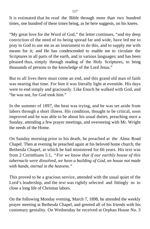It is estimated that he read the Bible through more than two hundred times, one hundred of these times being, as he here suggests, on his knees.

"My great love for the Word of God," the letter continues, "and my deep conviction of the need of its being spread far and wide, have led me to pray to God to use me as an instrument to do this, and to supply me with means for it; and He has condescended to enable me to circulate the Scriptures in all parts of the earth, and in various languages; and has been pleased thus, simply through reading of the Holy Scriptures, to bring thousands of persons to the knowledge of the Lord Jesus."

But to all lives there must come an end, and this grand old man of faith was nearing that time. For him it was literally light at eventide. His days were to end simply and graciously. Like Enoch he walked with God, and "he was not, for God took him."

In the summer of 1897, the heat was trying, and he was set aside from labors through a short illness. His condition, thought to be critical, soon improved and he was able to be about his usual duties, preaching once a Sunday, attending a few prayer meetings, and overseeing with Mr. Wright the needs of the Home.

On Sunday morning prior to his death, he preached at the Alma Road Chapel. Then at evening he preached again at his beloved home church, the Bethesda Chapel, at which he had ministered for 66 years. His text was from 2 Corinthians 5:1, *"For we know that if our earthly house of this tabernacle were dissolved, we have a building of God, an house not made with hands, eternal in the heavens."*

This proved to be a gracious service, attended with the usual quiet of the Lord's leadership, and the text was rightly selected and fittingly so to close a long life of Christian labors.

On the following Monday evening, March 7, 1898, he attended the weekly prayer meeting at Bethesda Chapel, and greeted all of his friends with his customary geniality. On Wednesday he received at Orphan House No. 3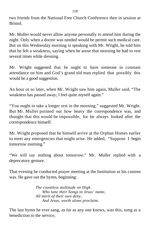two friends from the National Free Church Conference then in session at Bristol.

Mr. Muller would never allow anyone personally to attend him during the night. Only when a doctor was needed would he permit such medical care. But on this Wednesday morning in speaking with Mr. Wright, he told him that he felt a weakness, saying when he arose that morning he had to rest several times while dressing.

Mr. Wright suggested that he ought to have someone in constant attendance on him and God's grand old man replied that possibly this would be a good suggestion.

An hour or so later, when Mr. Wright saw him again, Muller said, "The weakness has passed away; I feel quite myself again."

"You ought to take a longer rest in the morning," suggested Mr. Wright. But Mr. Muller pointed out how heavy the correspondence was, and thought that this would be impossible, for he always looked after the correspondence himself.

Mr. Wright proposed that he himself arrive at the Orphan Homes earlier to meet any emergencies that might arise. He added, "Suppose I begin tomorrow morning."

"We will say nothing about tomorrow," Mr. Muller replied with a deprecatory gesture.

That evening he conducted prayer meeting at the Institution as his custom was. He gave out the hymn, beginning:

> *The countless multitude on High Who tune their Songs to Jesus' name, All merit of their own deny, And Jesus, worth alone proclaim.*

The last hymn he ever sang, as far as any one knows, was this, sung as a benediction to the service,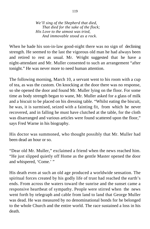*We'll sing of the Shepherd that died, That died for the sake of the flock; His Love to the utmost was tried, And immovable stood as a rock.*

When he bade his son-in-law good-night there was no sign of declining strength. He seemed to the last the vigorous old man he had always been and retired to rest as usual. Mr. Wright suggested that he have a night-attendant and Mr. Muller consented to such an arrangement "after tonight." He was never more to need human attention.

The following morning, March 10, a servant went to his room with a cup of tea, as was the custom. On knocking at the door there was no response, so she opened the door and found Mr. Muller lying on the floor. For some time as body strength began to wane, Mr. Muller asked for a glass of milk and a biscuit to be placed on his dressing table. "Whilst eating the biscuit, he was, it is surmised, seized with a fainting fit, from which he never recovered, and in falling he must have clutched at the table, for the cloth was disarranged and various articles were found scattered upon the floor," says Fred Warne in his biography.

His doctor was summoned, who thought possibly that Mr. Muller had been dead an hour or so.

"Dear old Mr. Muller," exclaimed a friend when the news reached him. "He just slipped quietly off Home as the gentle Master opened the door and whispered, 'Come.' "

His death even at such an old age produced a worldwide sensation. The spiritual forces created by his godly life of trust had reached the earth's ends. From across the waters toward the sunrise and the sunset came a responsive heartbeat of sympathy. People were stirred when the news went forth by telegraph and cable from land to land that George Muller was dead. He was measured by no denominational bonds for he belonged to the whole Church and the entire world. The race sustained a loss in his death.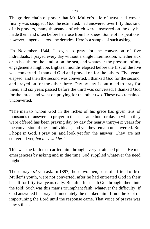The golden chain of prayer that Mr. Muller's life of trust had woven finally was snapped. God, he estimated, had answered over fifty thousand of his prayers, many thousands of which were answered on the day he made them and often before he arose from his knees. Some of his petitions, however, lingered across the decades. Here is a sample of such asking...

"In November, 1844, I began to pray for the conversion of five individuals. I prayed every day without a single intermission, whether sick or in health, on the land or on the sea, and whatever the pressure of my engagements might be. Eighteen months elapsed before the first of the five was converted. I thanked God and prayed on for the others. Five years elapsed, and then the second was converted. I thanked God for the second, and prayed on for the other three. Day by day I continued to pray for them, and six years passed before the third was converted. I thanked God for the three, and went on praying for the other two. These two remained unconverted.

"The man to whom God in the riches of his grace has given tens of thousands of answers to prayer in the self-same hour or day in which they were offered has been praying day by day for nearly thirty-six years for the conversion of these individuals, and yet they remain unconverted. But I hope in God, I pray on, and look yet for the answer. They are not converted yet, *but they will be."*

This was the faith that carried him through every straitened place. He met emergencies by asking and in due time God supplied whatever the need might be.

Those prayers? you ask. In 1897, those two men, sons of a friend of Mr. Muller's youth, were not converted, after he had entreated God in their behalf for fifty-two years daily. But after his death God brought them into the fold! Such was this man's triumphant faith, whatever the difficulty. If God answered his prayer immediately, he thanked him. If not, he kept on importuning the Lord until the response came. That voice of prayer was now stilled.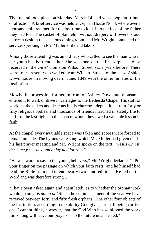The funeral took place on Monday, March 14, and was a popular tribute of affection. A brief service was held at Orphan House No. 3, where over a thousand children met, for the last time to look into the face of the father they had lost. The casket of plain elm, without drapery of flowers, stood before a desk in the spacious dining room, and Mr. Wright conducted the service, speaking on Mr. Muller's life and labors.

Among those attending was an old lady who called to see the man who in her youth had befriended her. She was one of the first orphans to be received in the Girls' Home on Wilson Street, sixty years before. There were four present who walked from Wilson Street to the new Ashley Down house on moving day in June, 1849 with the other inmates of the Institution.

Slowly the procession formed in front of Ashley Down and thousands entered it to walk or drive in carriages to the Bethesda Chapel. His staff of workers, the elders and deacons in his churches, deputations from forty or fifty religious bodies, and thousands of friends marched in stately file to perform the last rights to this man to whom they owed a valuable lesson in faith.

At the chapel every available space was taken and scores were forced to remain outside. The hymns were sung which Mr. Muller had given out in his last prayer meeting and Mr. Wright spoke on the text, *"Jesus Christ, the same yesterday and today and forever."*

"He was wont to say to the young believers," Mr. Wright declared, " 'Put your finger on the passage on which your faith rests' and he himself had read the Bible from end to end nearly two hundred times. He fed on the Word and was therefore strong...

"I have been asked again and again lately as to whether the orphan work would go on. *It is going on!* Since the commencement of the year we have received between forty and fifty fresh orphans...The other four objects of the Institution, according to the ability God gives, are still being carried on...I cannot think, however, that the God Who has so blessed the work for so long will leave our prayers as to the future unanswered."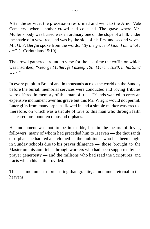After the service, the procession re-formed and went to the Arno Vale Cemetery, where another crowd had collected. The grave where Mr. Muller's body was buried was an ordinary one on the slope of a hill, under the shade of a yew tree, and was by the side of his first and second wives. Mr. G. F. Bergin spoke from the words, *"By the grace of God, I am what I am"* (1 Corinthians 15:10).

The crowd gathered around to view for the last time the coffin on which was inscribed, *"George Muller, fell asleep 10th March, 1898, in his 93rd year."*

In every pulpit in Bristol and in thousands across the world on the Sunday before the burial, memorial services were conducted and loving tributes were offered in memory of this man of trust. Friends wanted to erect an expensive monument over his grave but this Mr. Wright would not permit. Later gifts from many orphans flowed in and a simple marker was erected therefore, on which was a tribute of love to this man who through faith had cared for about ten thousand orphans.

His monument was not to be in marble, but in the hearts of loving followers, many of whom had preceded him to Heaven — the thousands of orphans he had fed and clothed — the multitudes who had been taught in Sunday schools due to his prayer diligence — those brought to the Master on mission fields through workers who had been supported by his prayer generosity — and the millions who had read the Scriptures and tracts which his faith provided.

This is a monument more lasting than granite, a monument eternal in the heavens.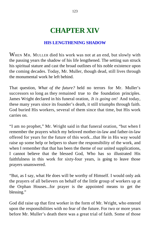# **CHAPTER XIV**

#### **HIS LENGTHENING SHADOW**

WHEN MR. MULLER died his work was not at an end, but slowly with the passing years the shadow of his life lengthened. The setting sun struck his spiritual stature and cast the broad outlines of his noble existence upon the coming decades. Today, Mr. Muller, though dead, still lives through the monumental work he left behind.

That question, *What of the future?* held no terrors for Mr. Muller's successors so long as they remained true to the foundation principles. James Wright declared in his funeral oration, *It is going on!* And today, these many years since its founder's death, it still triumphs through faith. God buried His workers, several of them since that time, but His work carries on.

"I am no prophet," Mr. Wright said in that funeral oration, "but when I remember the prayers which my beloved mother-in-law and father-in-law offered for years for the future of this work...that He in His way would raise up some help or helpers to share the responsibility of the work, and when I remember that that has been the theme of our united supplications, I cannot believe that the blessed God, Who has so illustrated His faithfulness in this work for sixty-four years, is going to leave those prayers unanswered.

"But, as I say, what He does will be worthy of Himself. I would only ask the prayers of all believers on behalf of the little group of workers up at the Orphan Houses...for prayer is the appointed means to get the blessing."

God did raise up that first worker in the form of Mr. Wright, who entered upon the responsibilities with no fear of the future. For two or more years before Mr. Muller's death there was a great trial of faith. Some of those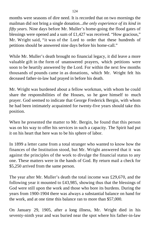months were seasons of dire need. It is recorded that on two mornings the mailman did not bring a single donation...*the only experience of its kind in fifty years.* Nine days before Mr. Muller's home-going the flood gates of blessings were opened and a sum of £1,427 was received. "How gracious," Mr. Wright said, "it was of the Lord to order that these hundreds of petitions should be answered nine days before his home-call."

While Mr. Muller's death brought no financial legacy, it did leave a more valuable gift in the form of unanswered prayers, which petitions were soon to be heartily answered by the Lord. For within the next few months thousands of pounds came in as donations, which Mr. Wright felt his deceased father-in-law had prayed in before his death.

Mr. Wright was burdened about a fellow workman, with whom he could share the responsibilities of the Houses, so he gave himself to much prayer. God seemed to indicate that George Frederick Bergin, with whom he had been intimately acquainted for twenty-five years should take this position.

When he presented the matter to Mr. Bergin, he found that this person was on his way to offer his services in such a capacity. The Spirit had put it on his heart that here was to be his sphere of labor.

In 1899 a letter came from a total stranger who wanted to know how the finances of the Institution stood, but Mr. Wright answered that it was against the principles of the work to divulge the financial status to any one. These matters were in the hands of God. By return mail a check for \$5,250 arrived from the same person.

The year after Mr. Muller's death the total income was £29,670, and the following year it mounted to £43,985, showing thus that the blessings of God were still upon the work and those who bore its burdens. During the years from 1900-1904 there was always a substantial balance on hand for the work, and at one time this balance ran to more than \$57,000.

On January 29, 1905, after a long illness, Mr. Wright died in his seventy-ninth year and was buried near the spot where his father-in-law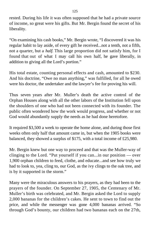rested. During his life it was often supposed that he had a private source of income, so great were his gifts. But Mr. Bergin found the secret of his liberality.

"On examining his cash books," Mr. Bergin wrote, "I discovered it was his regular habit to lay aside, of every gift he received...not a tenth, not a fifth, not a quarter, but a *half*. This large proportion did not satisfy him, for I found that out of what I may call his own half, he gave liberally, in addition to giving all the Lord's portion."

His total estate, counting personal effects and cash, amounted to \$230. And his doctrine, "Owe no man anything," was fulfilled, for all he owed were his doctor, the undertaker and the lawyer's fee for proving his will.

Thus seven years after Mr. Muller's death the active control of the Orphan Houses along with all the other labors of the Institution fell upon the shoulders of one who had not been connected with its founder. The public often wondered how the work would progress, and whether or not God would abundantly supply the needs as he had done heretofore.

It required \$3,500 a week to operate the home alone, and during those first weeks often only half that amount came in, but when the 1905 books were balanced, they showed a surplus of \$175, with a total income of £25,980.

Mr. Bergin knew but one way to proceed and that was the Muller-way of clinging to the Lord. "Put yourself if you can...in our position — over 1,900 orphan children to feed, clothe, and educate...and see how truly we had to look to, yea, cling to, our God, as the ivy clings to the oak tree, and is by it supported in the storm."

Many were the miraculous answers to his prayers, as they had been to the prayers of the founder. On September 27, 1905, the Centenary of Mr. Muller's birth was celebrated, and Mr. Bergin asked the Lord to supply 2,000 bananas for the children's cakes. He sent to town to find out the price, and while the messenger was gone 4,000 bananas arrived. "So through God's bounty, our children had two bananas each on the 27th,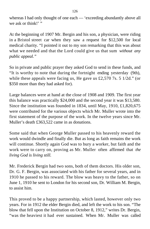whereas I had only thought of one each — 'exceeding abundantly above all we ask or think!' "

At the beginning of 1907 Mr. Bergin and his son, a physician, were riding in a Bristol street car when they saw a request for \$12,500 for local medical charity. "I pointed it out to my son remarking that this was about what we needed and that the Lord could give us that sum *without any public appeal."*

So in private and public prayer they asked God to send in these funds, and "It is worthy to note that during the fortnight ending yesterday (9th), while these appeals were facing us, He gave us £2,570 7s. 5 1/2d." (or \$350 more than they had asked for).

Large balances were at hand at the close of 1908 and 1909. The first year this balance was practically \$24,000 and the second year it was \$13,580. Since the institution was founded in 1834, until May, 1910, £1,820,675 were contributed for the various objects which Mr. Muller wrote into the first statement of the purpose of the work. In the twelve years since Mr. Muller's death £363,522 came in as donations.

Some said that when George Muller passed to his heavenly reward the work would dwindle and finally die. But as long as faith remains the work will continue. Shortly again God was to bury a worker, but faith and the work were to carry on, proving as Mr. Muller often affirmed that *the living God is living still.*

Mr. Frederick Bergin had two sons, both of them doctors. His older son, Dr. G. F. Bergin, was associated with his father for several years, and in 1910 he passed to his reward. The blow was heavy to the father, so on June 1, 1910 he sent to London for his second son, Dr. William M. Bergin, to assist him.

This proved to be a happy partnership, which lasted, however only two years. For in 1912 the elder Bergin died, and left the work to his son. "The blow that fell upon the Institution on October 8, 1912," writes Dr. Bergin, "was the heaviest it had ever sustained. When Mr. Muller was called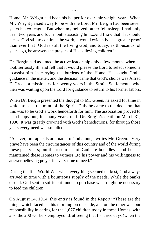Home, Mr. Wright had been his helper for over thirty-eight years. When Mr**.** Wright passed away to be with the Lord, Mr. Bergin had been seven years his colleague. But when my beloved father fell asleep, I had only been two years and four months assisting him...And I saw that if it should please God still to continue the work, it would evidently be a greater proof than ever that 'God is still the living God, and today, as thousands of years ago, he answers the prayers of His believing children.'"

Dr. Bergin had assumed the active leadership only a few months when he took seriously ill, and felt that it would please the Lord to select someone to assist him in carrying the burdens of the Home. He sought God's guidance in the matter, and the decision came that God's choice was Alfred E. Green, a missionary for twenty years in the Straits Settlements, who then was waiting upon the Lord for guidance to return to his former labors.

When Dr. Bergin presented the thought to Mr. Green, he asked for time in which to seek the mind of the Spirit. Duly he came to the decision that this was to be God's work henceforth for him. The association proved to be a happy one, for many years, until Dr. Bergin's death on March 31, 1930. It was greatly crowned with God's benedictions, for through those years every need was supplied.

"As ever, our appeals are made to God alone," writes Mr. Green. "Very grave have been the circumstances of this country and of the world during these past years; but the resources of God are boundless, and he had maintained these Homes to witness...to his power and his willingness to answer believing prayer in every time of need."

During the first World War when everything seemed darkest, God always arrived in time with a bounteous supply of the needs. While the banks closed, God sent in sufficient funds to purchase what might be necessary to feed the children.

On August 14, 1914, this entry is found in the Report: "These are the things which faced us this morning on one side, and on the other was our responsibility in caring for the 1,677 children today in these Homes, with also the 200 workers employed...But seeing that for three days (when the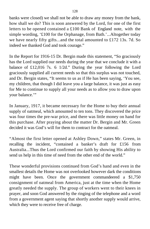banks were closed) we shall not be able to draw any money from the bank, how shall we do? This is soon answered by the Lord, for one of the first letters to be opened contained a £100 Bank of England note, with the simple wording, '£100 for the Orphanage, from Bath.'...Altogether today we have nearly fifty gifts...and the total amounted to £172 13s. 7d. So indeed we thanked God and took courage."

In the Report for 1916-15 Dr. Bergin made this statement, "So graciously has the Lord supplied our needs during the year that we conclude it with a balance of £12,016 7s. 6 1/2d." During the year following the Lord graciously supplied all current needs so that this surplus was not touched, and Dr. Bergin states, "It seems to us as if He has been saying, 'You see, my children, that though I did leave you a large balance, it was just as easy for Me to continue to supply all your needs as to allow you to draw upon your balance."

In January, 1917, it became necessary for the Home to buy their annual supply of oatmeal, which amounted to ten tons. They discovered the price was four times the pre-war price, and there was little money on hand for this purchase. After praying about the matter Dr. Bergin and Mr. Green decided it was God's will for them to contract for the oatmeal.

"Almost the first letter opened at Ashley Down," states Mr. Green, in recalling the incident, "contained a banker's draft for £156 from Australia...Thus the Lord confirmed our faith by showing His ability to send us help in this time of need from the other end of the world."

These wonderful provisions continued from God's hand and even in the smallest details the Home was not overlooked however dark the conditions might have been. Once the government commandeered a \$1,750 consignment of oatmeal from America, just at the time when the Home greatly needed the supply. The group of workers went to their knees in prayer, and soon God answered by the ringing of the telephone and a word from a government agent saying that shortly another supply would arrive, which they were to receive free of charge.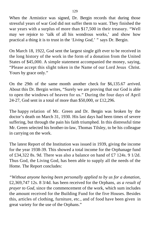When the Armistice was signed, Dr. Bergin records that during those stressful years of war God did not suffer them to want. They finished the war years with a surplus of more than \$17,500 in their treasury. "Well may we rejoice to 'talk of all his wondrous works,' and show how practical a thing it is to trust in the *'Living God,' "* says Dr. Bergin.

On March 18, 1922, God sent the largest single gift ever to be received in the long history of the work in the form of a donation from the United States of \$45,000. A simple statement accompanied the money, saying, "Please accept this slight token in the Name of our Lord Jesus Christ. Yours by grace only."

On the 29th of the same month another check for \$6,135.67 arrived. About this Dr. Bergin writes, "Surely we are proving that our God is able to open the windows of heaven for us." During the four days of April 24-27, God sent in a total of more than \$50,000, or £12,296.

The happy relation of Mr. Green and Dr. Bergin was broken by the doctor's death on March 31, 1930. His last days had been times of severe suffering, but through the pain his faith triumphed. In this distressful time Mr. Green selected his brother-in-law, Thomas Tilsley, to be his colleague in carrying on the work.

The latest Report of the Institution was issued in 1939, giving the income for the year 1938-39. This showed a total income for the Orphanage fund of £34,322 8s. 9d. There was also a balance on hand of £7 124s. 9 1/2d. Thus God, the Living God, has been able to supply all the needs of the Home. The Report concludes:

*"Without anyone having been personally applied to by us for a donation,* £2,369,747 12s. 8 3/4d. has been received for the Orphans, *as a result of prayer to God,* since the commencement of the work, which sum includes the amount received for the Building Fund for the five Houses. Besides this, articles of clothing, furniture, etc., and of food have been given in great variety for the use of the Orphans."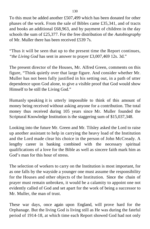To this must be added another £507,499 which has been donated for other phases of the work. From the sale of Bibles came £35,341, and of tracts and books an additional £68,963, and by payment of children in the day schools the sum of £25,377. For the free distribution of the *Autobiography* of Mr. Muller there has been received £539 7s.

"Thus it will be seen that up to the present time the Report continues, *"the Living God* has sent in answer to prayer £3,007,469 12s. 3d."

The present director of the Houses, Mr. Alfred Green, comments on this figure, "Think quietly over that large figure. And consider whether Mr. Muller has not been fully justified in his setting out, in a path of utter dependence upon God alone, to give a visible proof that God would show Himself to be still the Living God."

Humanly speaking it is utterly impossible to think of this amount of money being received without asking anyone for a contribution. The total money thus received during 105 years since Mr. Muller founded the Scriptural Knowledge Institution is the staggering sum of \$15,037,348.

Looking into the future Mr. Green and Mr. Tilsley asked the Lord to raise up another assistant to help in carrying the heavy load of the Institution and the Lord made clear his choice in the person of John McCready. A lengthy career in banking combined with the necessary spiritual qualifications of a love for the Bible as well as sincere faith mark him as God's man for this hour of stress.

The selection of workers to carry on the Institution is most important, for as one falls by the wayside a younger one must assume the responsibility for the Houses and other objects of the Institution. Since the chain of prayer must remain unbroken, it would be a calamity to appoint one not evidently called of God and set apart for the work of being a successor to Mr. Muller, the man of trust.

These war days, once again upon England, will prove hard for the Orphanage. But the living God is living still as He was during the fateful period of 1914-18, at which time each Report showed God had not only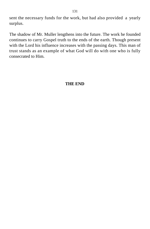sent the necessary funds for the work, but had also provided a yearly surplus.

The shadow of Mr. Muller lengthens into the future. The work he founded continues to carry Gospel truth to the ends of the earth. Though present with the Lord his influence increases with the passing days. This man of trust stands as an example of what God will do with one who is fully consecrated to Him.

### **THE END**